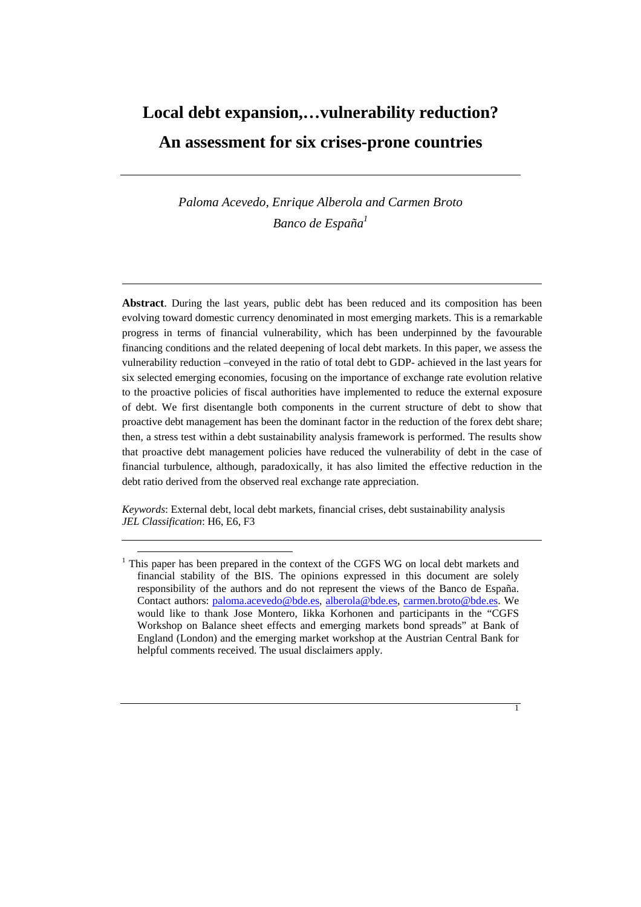# **Local debt expansion,…vulnerability reduction? An assessment for six crises-prone countries**

*Paloma Acevedo, Enrique Alberola and Carmen Broto Banco de España*<sup>1</sup>

**Abstract**. During the last years, public debt has been reduced and its composition has been evolving toward domestic currency denominated in most emerging markets. This is a remarkable progress in terms of financial vulnerability, which has been underpinned by the favourable financing conditions and the related deepening of local debt markets. In this paper, we assess the vulnerability reduction –conveyed in the ratio of total debt to GDP- achieved in the last years for six selected emerging economies, focusing on the importance of exchange rate evolution relative to the proactive policies of fiscal authorities have implemented to reduce the external exposure of debt. We first disentangle both components in the current structure of debt to show that proactive debt management has been the dominant factor in the reduction of the forex debt share; then, a stress test within a debt sustainability analysis framework is performed. The results show that proactive debt management policies have reduced the vulnerability of debt in the case of financial turbulence, although, paradoxically, it has also limited the effective reduction in the debt ratio derived from the observed real exchange rate appreciation.

*Keywords*: External debt, local debt markets, financial crises, debt sustainability analysis *JEL Classification*: H6, E6, F3



<sup>&</sup>lt;sup>1</sup> This paper has been prepared in the context of the CGFS WG on local debt markets and financial stability of the BIS. The opinions expressed in this document are solely responsibility of the authors and do not represent the views of the Banco de España. Contact authors: paloma.acevedo@bde.es, alberola@bde.es, carmen.broto@bde.es. We would like to thank Jose Montero, Iikka Korhonen and participants in the "CGFS Workshop on Balance sheet effects and emerging markets bond spreads" at Bank of England (London) and the emerging market workshop at the Austrian Central Bank for helpful comments received. The usual disclaimers apply.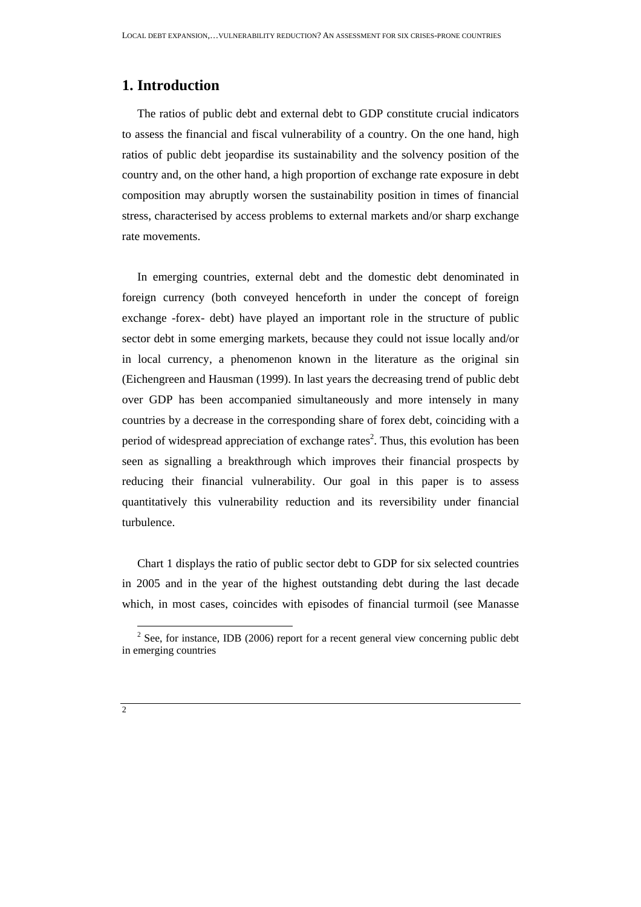### **1. Introduction**

The ratios of public debt and external debt to GDP constitute crucial indicators to assess the financial and fiscal vulnerability of a country. On the one hand, high ratios of public debt jeopardise its sustainability and the solvency position of the country and, on the other hand, a high proportion of exchange rate exposure in debt composition may abruptly worsen the sustainability position in times of financial stress, characterised by access problems to external markets and/or sharp exchange rate movements.

In emerging countries, external debt and the domestic debt denominated in foreign currency (both conveyed henceforth in under the concept of foreign exchange -forex- debt) have played an important role in the structure of public sector debt in some emerging markets, because they could not issue locally and/or in local currency, a phenomenon known in the literature as the original sin (Eichengreen and Hausman (1999). In last years the decreasing trend of public debt over GDP has been accompanied simultaneously and more intensely in many countries by a decrease in the corresponding share of forex debt, coinciding with a period of widespread appreciation of exchange rates<sup>2</sup>. Thus, this evolution has been seen as signalling a breakthrough which improves their financial prospects by reducing their financial vulnerability. Our goal in this paper is to assess quantitatively this vulnerability reduction and its reversibility under financial turbulence.

Chart 1 displays the ratio of public sector debt to GDP for six selected countries in 2005 and in the year of the highest outstanding debt during the last decade which, in most cases, coincides with episodes of financial turmoil (see Manasse

 $2^2$  See, for instance, IDB (2006) report for a recent general view concerning public debt in emerging countries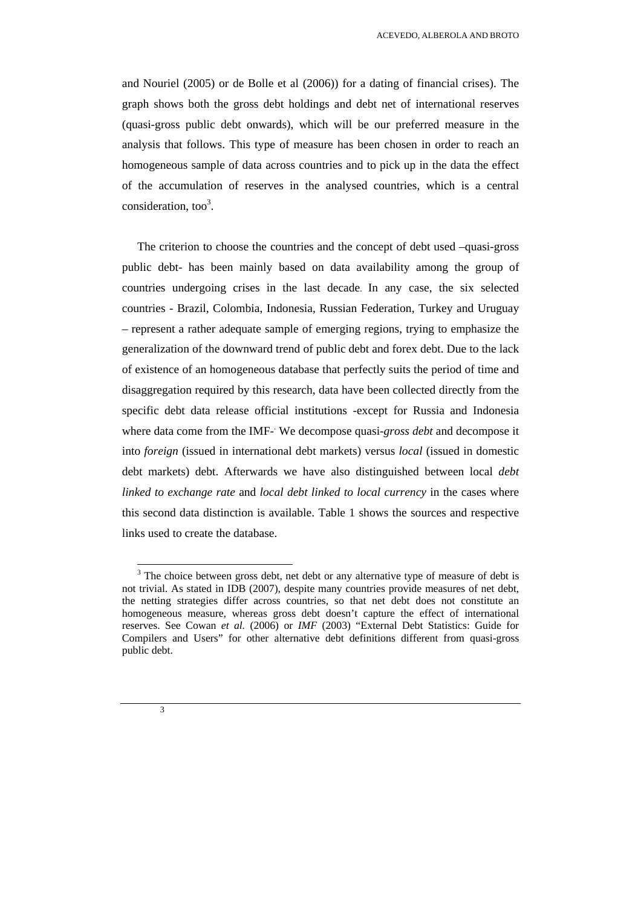and Nouriel (2005) or de Bolle et al (2006)) for a dating of financial crises). The graph shows both the gross debt holdings and debt net of international reserves (quasi-gross public debt onwards), which will be our preferred measure in the analysis that follows. This type of measure has been chosen in order to reach an homogeneous sample of data across countries and to pick up in the data the effect of the accumulation of reserves in the analysed countries, which is a central consideration, too<sup>3</sup>.

The criterion to choose the countries and the concept of debt used –quasi-gross public debt- has been mainly based on data availability among the group of countries undergoing crises in the last decade. In any case, the six selected countries - Brazil, Colombia, Indonesia, Russian Federation, Turkey and Uruguay – represent a rather adequate sample of emerging regions, trying to emphasize the generalization of the downward trend of public debt and forex debt. Due to the lack of existence of an homogeneous database that perfectly suits the period of time and disaggregation required by this research, data have been collected directly from the specific debt data release official institutions -except for Russia and Indonesia where data come from the IMF-We decompose quasi-*gross debt* and decompose it into *foreign* (issued in international debt markets) versus *local* (issued in domestic debt markets) debt. Afterwards we have also distinguished between local *debt linked to exchange rate* and *local debt linked to local currency* in the cases where this second data distinction is available. Table 1 shows the sources and respective links used to create the database.



 $3$  The choice between gross debt, net debt or any alternative type of measure of debt is not trivial. As stated in IDB (2007), despite many countries provide measures of net debt, the netting strategies differ across countries, so that net debt does not constitute an homogeneous measure, whereas gross debt doesn't capture the effect of international reserves. See Cowan *et al.* (2006) or *IMF* (2003) "External Debt Statistics: Guide for Compilers and Users" for other alternative debt definitions different from quasi-gross public debt.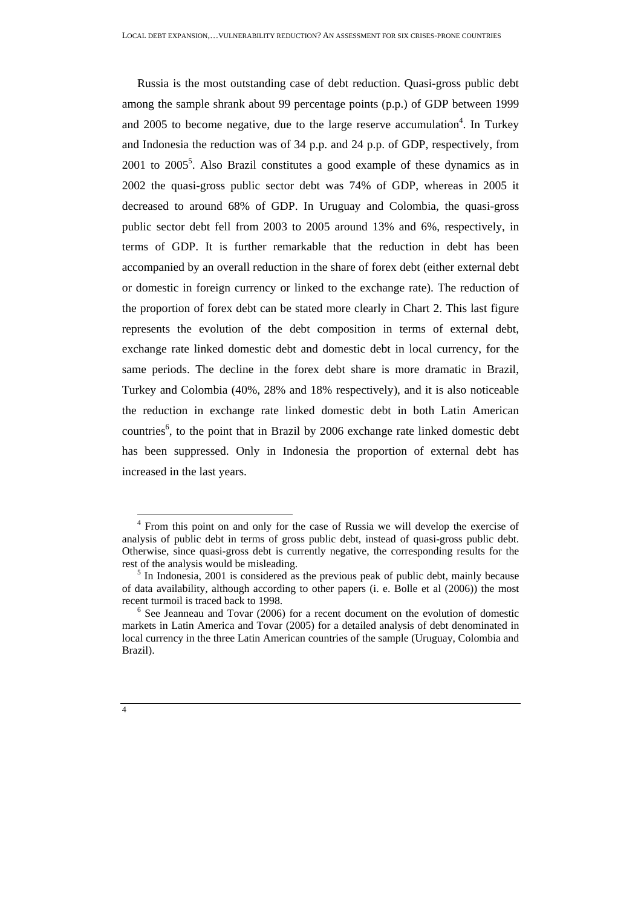Russia is the most outstanding case of debt reduction. Quasi-gross public debt among the sample shrank about 99 percentage points (p.p.) of GDP between 1999 and 2005 to become negative, due to the large reserve accumulation<sup>4</sup>. In Turkey and Indonesia the reduction was of 34 p.p. and 24 p.p. of GDP, respectively, from  $2001$  to  $2005^5$ . Also Brazil constitutes a good example of these dynamics as in 2002 the quasi-gross public sector debt was 74% of GDP, whereas in 2005 it decreased to around 68% of GDP. In Uruguay and Colombia, the quasi-gross public sector debt fell from 2003 to 2005 around 13% and 6%, respectively, in terms of GDP. It is further remarkable that the reduction in debt has been accompanied by an overall reduction in the share of forex debt (either external debt or domestic in foreign currency or linked to the exchange rate). The reduction of the proportion of forex debt can be stated more clearly in Chart 2. This last figure represents the evolution of the debt composition in terms of external debt, exchange rate linked domestic debt and domestic debt in local currency, for the same periods. The decline in the forex debt share is more dramatic in Brazil, Turkey and Colombia (40%, 28% and 18% respectively), and it is also noticeable the reduction in exchange rate linked domestic debt in both Latin American countries<sup>6</sup>, to the point that in Brazil by 2006 exchange rate linked domestic debt has been suppressed. Only in Indonesia the proportion of external debt has increased in the last years.

<sup>&</sup>lt;sup>4</sup> From this point on and only for the case of Russia we will develop the exercise of analysis of public debt in terms of gross public debt, instead of quasi-gross public debt. Otherwise, since quasi-gross debt is currently negative, the corresponding results for the rest of the analysis would be misleading.

 $<sup>5</sup>$  In Indonesia, 2001 is considered as the previous peak of public debt, mainly because</sup> of data availability, although according to other papers (i. e. Bolle et al (2006)) the most recent turmoil is traced back to 1998.

 $6$  See Jeanneau and Tovar (2006) for a recent document on the evolution of domestic markets in Latin America and Tovar (2005) for a detailed analysis of debt denominated in local currency in the three Latin American countries of the sample (Uruguay, Colombia and Brazil).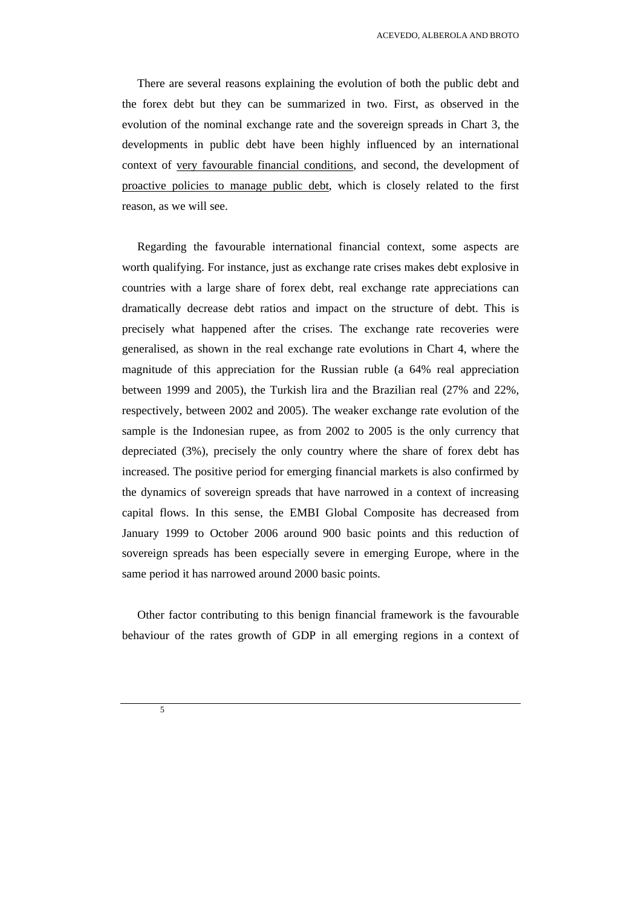There are several reasons explaining the evolution of both the public debt and the forex debt but they can be summarized in two. First, as observed in the evolution of the nominal exchange rate and the sovereign spreads in Chart 3, the developments in public debt have been highly influenced by an international context of very favourable financial conditions, and second, the development of proactive policies to manage public debt, which is closely related to the first reason, as we will see.

Regarding the favourable international financial context, some aspects are worth qualifying. For instance, just as exchange rate crises makes debt explosive in countries with a large share of forex debt, real exchange rate appreciations can dramatically decrease debt ratios and impact on the structure of debt. This is precisely what happened after the crises. The exchange rate recoveries were generalised, as shown in the real exchange rate evolutions in Chart 4, where the magnitude of this appreciation for the Russian ruble (a 64% real appreciation between 1999 and 2005), the Turkish lira and the Brazilian real (27% and 22%, respectively, between 2002 and 2005). The weaker exchange rate evolution of the sample is the Indonesian rupee, as from 2002 to 2005 is the only currency that depreciated (3%), precisely the only country where the share of forex debt has increased. The positive period for emerging financial markets is also confirmed by the dynamics of sovereign spreads that have narrowed in a context of increasing capital flows. In this sense, the EMBI Global Composite has decreased from January 1999 to October 2006 around 900 basic points and this reduction of sovereign spreads has been especially severe in emerging Europe, where in the same period it has narrowed around 2000 basic points.

Other factor contributing to this benign financial framework is the favourable behaviour of the rates growth of GDP in all emerging regions in a context of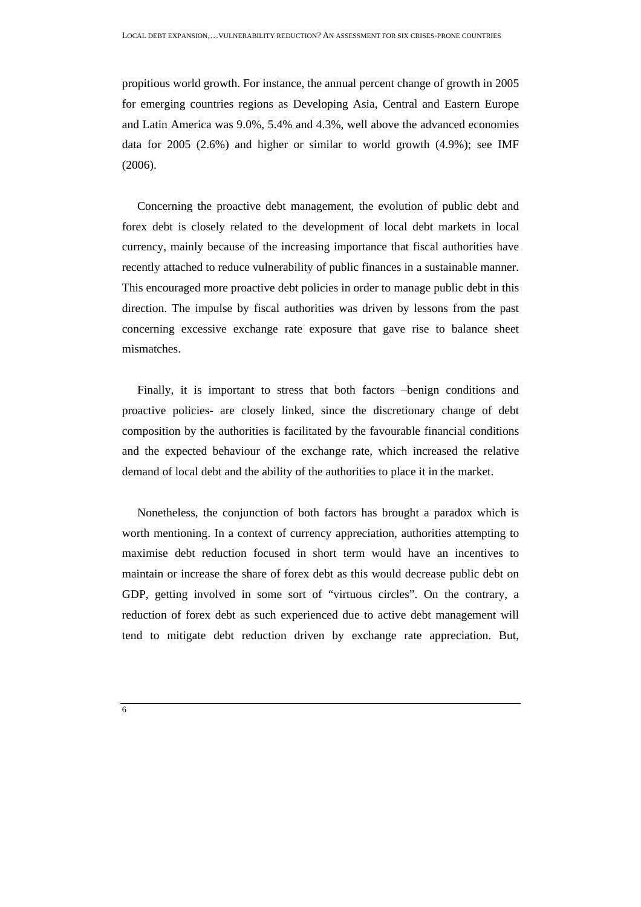propitious world growth. For instance, the annual percent change of growth in 2005 for emerging countries regions as Developing Asia, Central and Eastern Europe and Latin America was 9.0%, 5.4% and 4.3%, well above the advanced economies data for 2005 (2.6%) and higher or similar to world growth (4.9%); see IMF (2006).

Concerning the proactive debt management, the evolution of public debt and forex debt is closely related to the development of local debt markets in local currency, mainly because of the increasing importance that fiscal authorities have recently attached to reduce vulnerability of public finances in a sustainable manner. This encouraged more proactive debt policies in order to manage public debt in this direction. The impulse by fiscal authorities was driven by lessons from the past concerning excessive exchange rate exposure that gave rise to balance sheet mismatches.

Finally, it is important to stress that both factors –benign conditions and proactive policies- are closely linked, since the discretionary change of debt composition by the authorities is facilitated by the favourable financial conditions and the expected behaviour of the exchange rate, which increased the relative demand of local debt and the ability of the authorities to place it in the market.

Nonetheless, the conjunction of both factors has brought a paradox which is worth mentioning. In a context of currency appreciation, authorities attempting to maximise debt reduction focused in short term would have an incentives to maintain or increase the share of forex debt as this would decrease public debt on GDP, getting involved in some sort of "virtuous circles". On the contrary, a reduction of forex debt as such experienced due to active debt management will tend to mitigate debt reduction driven by exchange rate appreciation. But,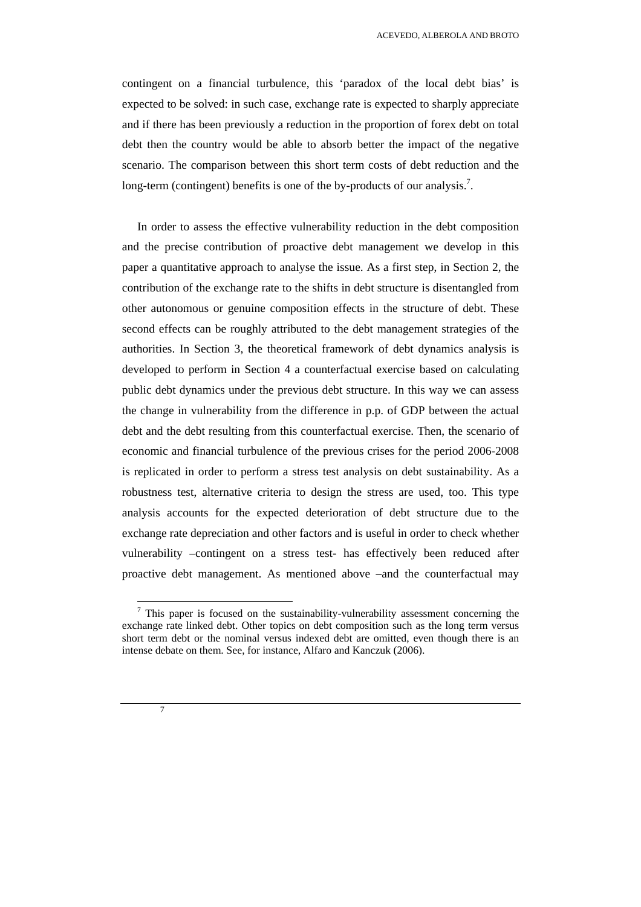contingent on a financial turbulence, this 'paradox of the local debt bias' is expected to be solved: in such case, exchange rate is expected to sharply appreciate and if there has been previously a reduction in the proportion of forex debt on total debt then the country would be able to absorb better the impact of the negative scenario. The comparison between this short term costs of debt reduction and the long-term (contingent) benefits is one of the by-products of our analysis.<sup>7</sup>.

In order to assess the effective vulnerability reduction in the debt composition and the precise contribution of proactive debt management we develop in this paper a quantitative approach to analyse the issue. As a first step, in Section 2, the contribution of the exchange rate to the shifts in debt structure is disentangled from other autonomous or genuine composition effects in the structure of debt. These second effects can be roughly attributed to the debt management strategies of the authorities. In Section 3, the theoretical framework of debt dynamics analysis is developed to perform in Section 4 a counterfactual exercise based on calculating public debt dynamics under the previous debt structure. In this way we can assess the change in vulnerability from the difference in p.p. of GDP between the actual debt and the debt resulting from this counterfactual exercise. Then, the scenario of economic and financial turbulence of the previous crises for the period 2006-2008 is replicated in order to perform a stress test analysis on debt sustainability. As a robustness test, alternative criteria to design the stress are used, too. This type analysis accounts for the expected deterioration of debt structure due to the exchange rate depreciation and other factors and is useful in order to check whether vulnerability –contingent on a stress test- has effectively been reduced after proactive debt management. As mentioned above –and the counterfactual may



 $<sup>7</sup>$  This paper is focused on the sustainability-vulnerability assessment concerning the</sup> exchange rate linked debt. Other topics on debt composition such as the long term versus short term debt or the nominal versus indexed debt are omitted, even though there is an intense debate on them. See, for instance, Alfaro and Kanczuk (2006).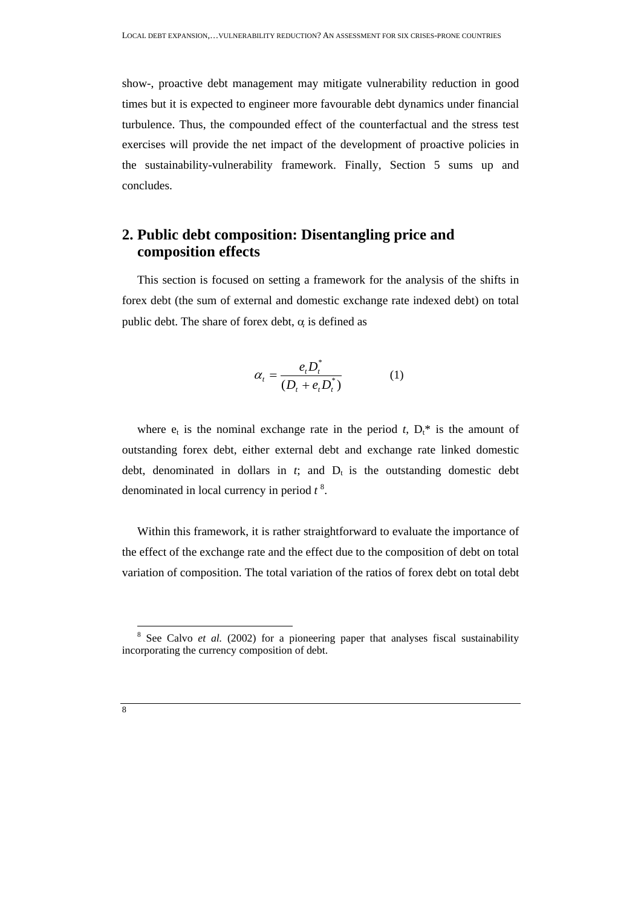show-, proactive debt management may mitigate vulnerability reduction in good times but it is expected to engineer more favourable debt dynamics under financial turbulence. Thus, the compounded effect of the counterfactual and the stress test exercises will provide the net impact of the development of proactive policies in the sustainability-vulnerability framework. Finally, Section 5 sums up and concludes.

# **2. Public debt composition: Disentangling price and composition effects**

This section is focused on setting a framework for the analysis of the shifts in forex debt (the sum of external and domestic exchange rate indexed debt) on total public debt. The share of forex debt,  $\alpha$  is defined as

$$
\alpha_t = \frac{e_t D_t^*}{(D_t + e_t D_t^*)} \tag{1}
$$

where  $e_t$  is the nominal exchange rate in the period *t*,  $D_t^*$  is the amount of outstanding forex debt, either external debt and exchange rate linked domestic debt, denominated in dollars in  $t$ ; and  $D_t$  is the outstanding domestic debt denominated in local currency in period *t* <sup>8</sup> .

Within this framework, it is rather straightforward to evaluate the importance of the effect of the exchange rate and the effect due to the composition of debt on total variation of composition. The total variation of the ratios of forex debt on total debt

<sup>&</sup>lt;sup>8</sup> See Calvo *et al.* (2002) for a pioneering paper that analyses fiscal sustainability incorporating the currency composition of debt.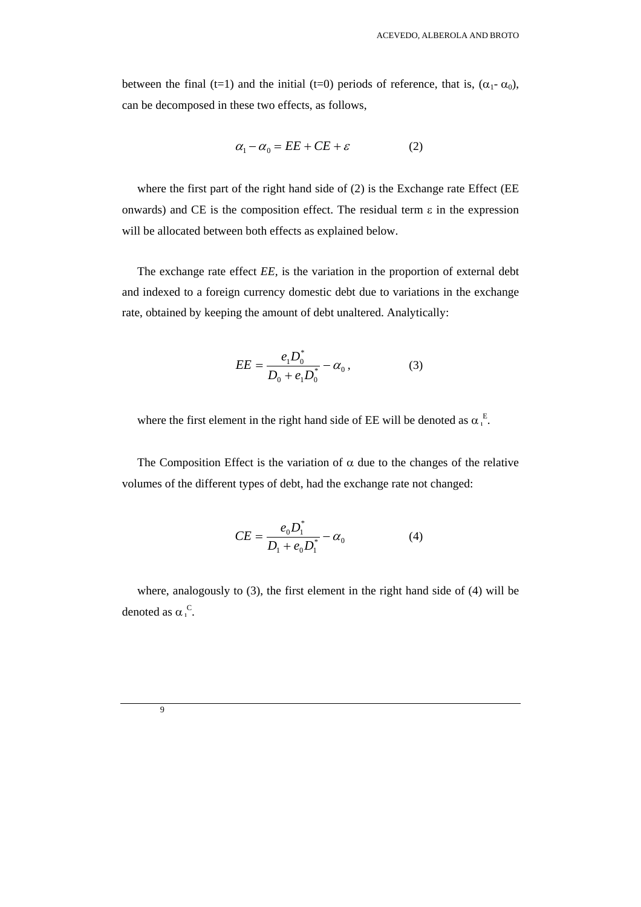between the final (t=1) and the initial (t=0) periods of reference, that is,  $(\alpha_1 - \alpha_0)$ , can be decomposed in these two effects, as follows,

$$
\alpha_1 - \alpha_0 = EE + CE + \varepsilon \tag{2}
$$

where the first part of the right hand side of (2) is the Exchange rate Effect (EE onwards) and CE is the composition effect. The residual term  $\varepsilon$  in the expression will be allocated between both effects as explained below.

The exchange rate effect *EE,* is the variation in the proportion of external debt and indexed to a foreign currency domestic debt due to variations in the exchange rate, obtained by keeping the amount of debt unaltered. Analytically:

$$
EE = \frac{e_1 D_0^*}{D_0 + e_1 D_0^*} - \alpha_0, \qquad (3)
$$

where the first element in the right hand side of EE will be denoted as  $\alpha_1^E$ .

The Composition Effect is the variation of  $\alpha$  due to the changes of the relative volumes of the different types of debt, had the exchange rate not changed:

$$
CE = \frac{e_0 D_1^*}{D_1 + e_0 D_1^*} - \alpha_0 \tag{4}
$$

where, analogously to (3), the first element in the right hand side of (4) will be denoted as  $\alpha_1^C$ .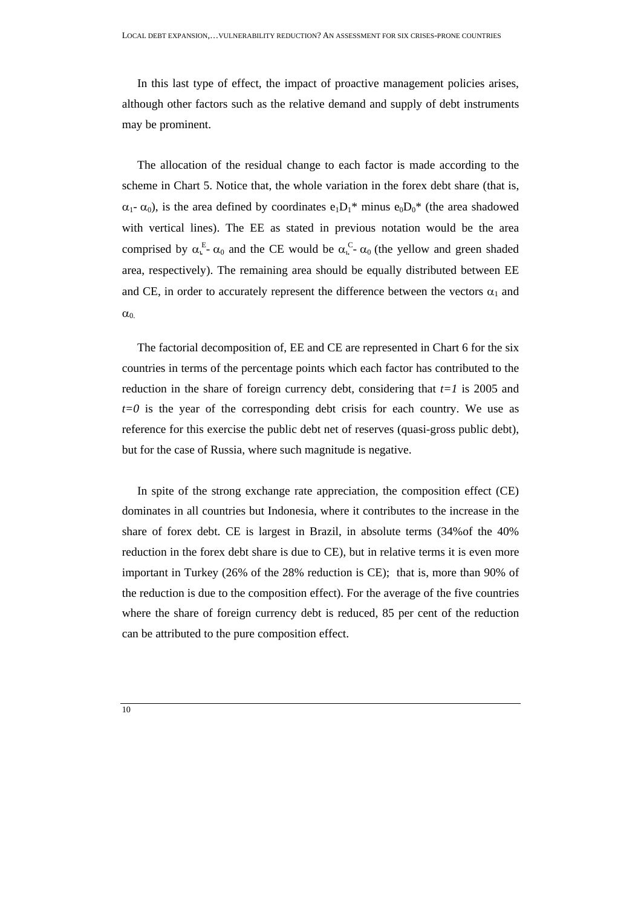In this last type of effect, the impact of proactive management policies arises, although other factors such as the relative demand and supply of debt instruments may be prominent.

The allocation of the residual change to each factor is made according to the scheme in Chart 5. Notice that, the whole variation in the forex debt share (that is,  $\alpha_1$ -  $\alpha_0$ ), is the area defined by coordinates  $e_1D_1^*$  minus  $e_0D_0^*$  (the area shadowed with vertical lines). The EE as stated in previous notation would be the area comprised by  $\alpha_{\iota}^E$ -  $\alpha_0$  and the CE would be  $\alpha_{\iota}^C$ -  $\alpha_0$  (the yellow and green shaded area, respectively). The remaining area should be equally distributed between EE and CE, in order to accurately represent the difference between the vectors  $\alpha_1$  and  $\alpha_0$ 

The factorial decomposition of, EE and CE are represented in Chart 6 for the six countries in terms of the percentage points which each factor has contributed to the reduction in the share of foreign currency debt, considering that  $t=1$  is 2005 and  $t=0$  is the year of the corresponding debt crisis for each country. We use as reference for this exercise the public debt net of reserves (quasi-gross public debt), but for the case of Russia, where such magnitude is negative.

In spite of the strong exchange rate appreciation, the composition effect (CE) dominates in all countries but Indonesia, where it contributes to the increase in the share of forex debt. CE is largest in Brazil, in absolute terms (34%of the 40% reduction in the forex debt share is due to CE), but in relative terms it is even more important in Turkey (26% of the 28% reduction is CE); that is, more than 90% of the reduction is due to the composition effect). For the average of the five countries where the share of foreign currency debt is reduced, 85 per cent of the reduction can be attributed to the pure composition effect.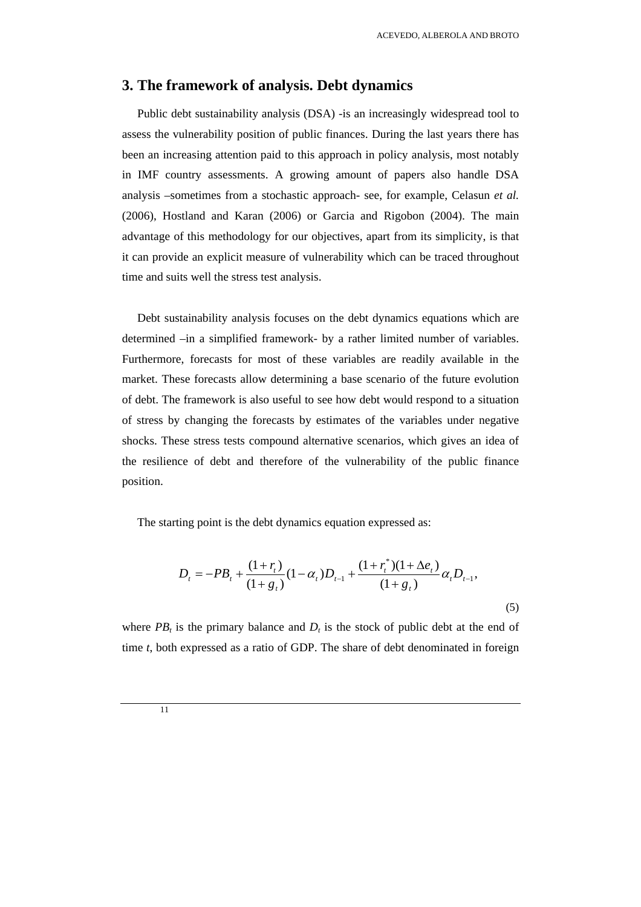### **3. The framework of analysis. Debt dynamics**

Public debt sustainability analysis (DSA) -is an increasingly widespread tool to assess the vulnerability position of public finances. During the last years there has been an increasing attention paid to this approach in policy analysis, most notably in IMF country assessments. A growing amount of papers also handle DSA analysis –sometimes from a stochastic approach- see, for example, Celasun *et al.* (2006), Hostland and Karan (2006) or Garcia and Rigobon (2004). The main advantage of this methodology for our objectives, apart from its simplicity, is that it can provide an explicit measure of vulnerability which can be traced throughout time and suits well the stress test analysis.

Debt sustainability analysis focuses on the debt dynamics equations which are determined –in a simplified framework- by a rather limited number of variables. Furthermore, forecasts for most of these variables are readily available in the market. These forecasts allow determining a base scenario of the future evolution of debt. The framework is also useful to see how debt would respond to a situation of stress by changing the forecasts by estimates of the variables under negative shocks. These stress tests compound alternative scenarios, which gives an idea of the resilience of debt and therefore of the vulnerability of the public finance position.

The starting point is the debt dynamics equation expressed as:

$$
D_{t} = -PB_{t} + \frac{(1+r_{t})}{(1+g_{t})}(1-\alpha_{t})D_{t-1} + \frac{(1+r_{t}^{*})(1+\Delta e_{t})}{(1+g_{t})}\alpha_{t}D_{t-1},
$$
\n(5)

where  $PB<sub>t</sub>$  is the primary balance and  $D<sub>t</sub>$  is the stock of public debt at the end of time *t*, both expressed as a ratio of GDP. The share of debt denominated in foreign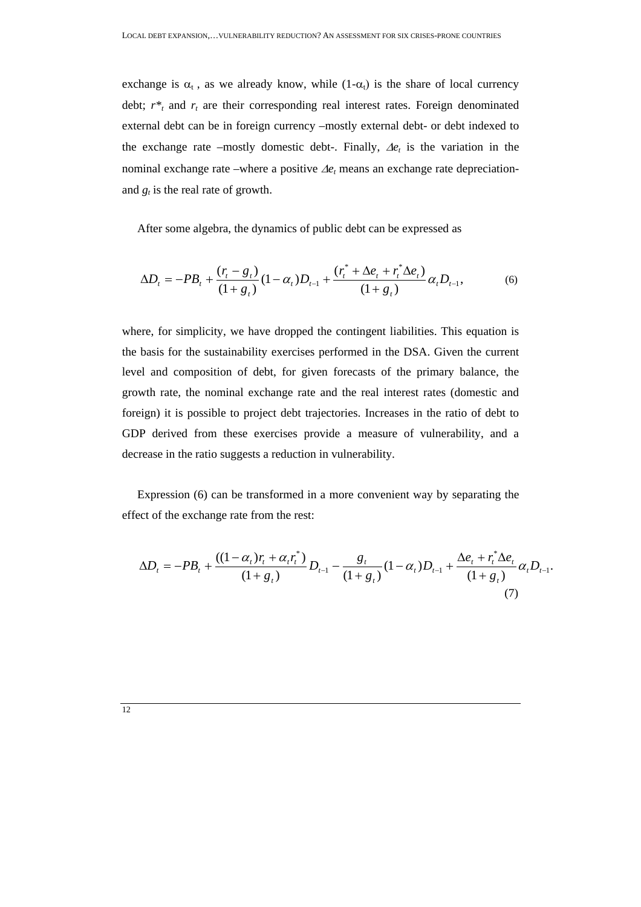exchange is  $\alpha_t$ , as we already know, while  $(1-\alpha_t)$  is the share of local currency debt;  $r^*$  and  $r_t$  are their corresponding real interest rates. Foreign denominated external debt can be in foreign currency –mostly external debt- or debt indexed to the exchange rate –mostly domestic debt-. Finally, ∆*et* is the variation in the nominal exchange rate –where a positive ∆*et* means an exchange rate depreciationand  $g_t$  is the real rate of growth.

After some algebra, the dynamics of public debt can be expressed as

$$
\Delta D_t = -PB_t + \frac{(r_t - g_t)}{(1 + g_t)} (1 - \alpha_t) D_{t-1} + \frac{(r_t^* + \Delta e_t + r_t^* \Delta e_t)}{(1 + g_t)} \alpha_t D_{t-1},
$$
(6)

where, for simplicity, we have dropped the contingent liabilities. This equation is the basis for the sustainability exercises performed in the DSA. Given the current level and composition of debt, for given forecasts of the primary balance, the growth rate, the nominal exchange rate and the real interest rates (domestic and foreign) it is possible to project debt trajectories. Increases in the ratio of debt to GDP derived from these exercises provide a measure of vulnerability, and a decrease in the ratio suggests a reduction in vulnerability.

Expression (6) can be transformed in a more convenient way by separating the effect of the exchange rate from the rest:

$$
\Delta D_t = -PB_t + \frac{((1-\alpha_t)r_t + \alpha_t r_t^*)}{(1+g_t)} D_{t-1} - \frac{g_t}{(1+g_t)} (1-\alpha_t) D_{t-1} + \frac{\Delta e_t + r_t^* \Delta e_t}{(1+g_t)} \alpha_t D_{t-1}.
$$
\n(7)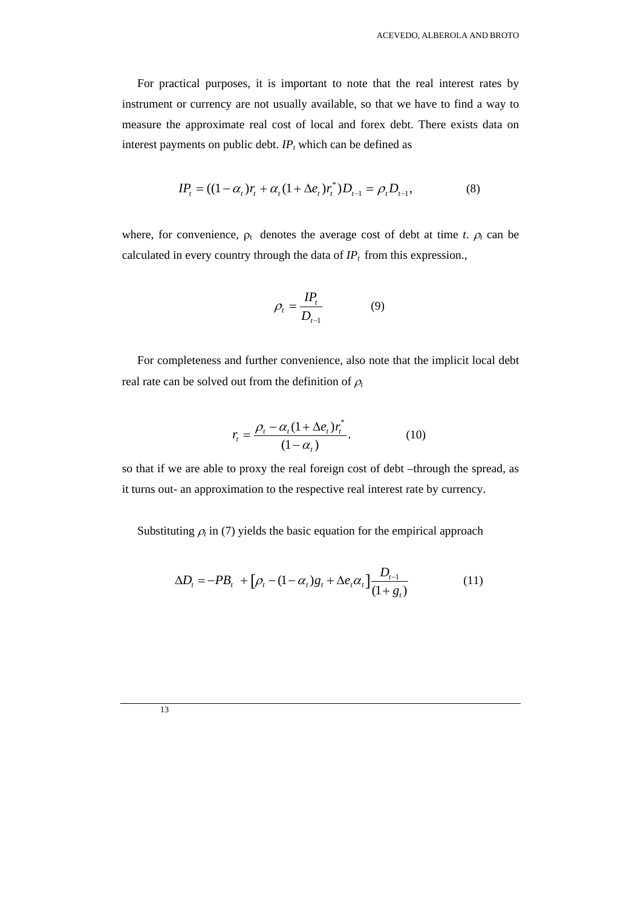For practical purposes, it is important to note that the real interest rates by instrument or currency are not usually available, so that we have to find a way to measure the approximate real cost of local and forex debt. There exists data on interest payments on public debt.  $IP<sub>t</sub>$  which can be defined as

$$
IP_t = ((1 - \alpha_t)r_t + \alpha_t(1 + \Delta e_t)r_t^*)D_{t-1} = \rho_t D_{t-1},
$$
\n(8)

where, for convenience,  $\rho_t$  denotes the average cost of debt at time *t*.  $\rho_t$  can be calculated in every country through the data of  $IP_t$  from this expression.,

$$
\rho_t = \frac{IP_t}{D_{t-1}} \tag{9}
$$

For completeness and further convenience, also note that the implicit local debt real rate can be solved out from the definition of  $\rho_t$ 

$$
r_{t} = \frac{\rho_{t} - \alpha_{t}(1 + \Delta e_{t})r_{t}^{*}}{(1 - \alpha_{t})}.
$$
 (10)

so that if we are able to proxy the real foreign cost of debt –through the spread, as it turns out- an approximation to the respective real interest rate by currency.

Substituting  $\rho_t$  in (7) yields the basic equation for the empirical approach

$$
\Delta D_t = -PB_t + [\rho_t - (1 - \alpha_t)g_t + \Delta e_t \alpha_t] \frac{D_{t-1}}{(1 + g_t)}
$$
(11)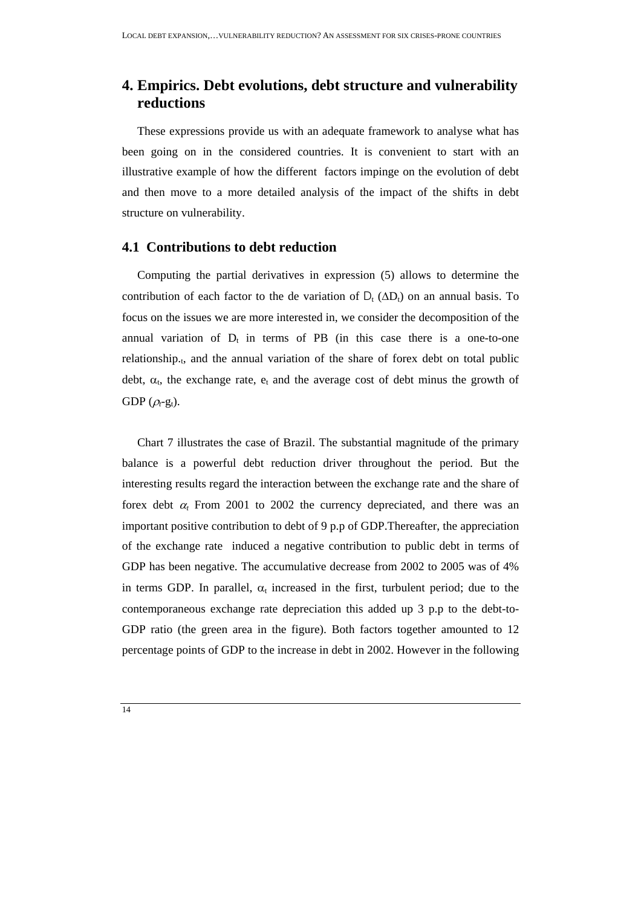# **4. Empirics. Debt evolutions, debt structure and vulnerability reductions**

These expressions provide us with an adequate framework to analyse what has been going on in the considered countries. It is convenient to start with an illustrative example of how the different factors impinge on the evolution of debt and then move to a more detailed analysis of the impact of the shifts in debt structure on vulnerability.

### **4.1 Contributions to debt reduction**

Computing the partial derivatives in expression (5) allows to determine the contribution of each factor to the de variation of  $D_t$  ( $\Delta D_t$ ) on an annual basis. To focus on the issues we are more interested in, we consider the decomposition of the annual variation of  $D_t$  in terms of PB (in this case there is a one-to-one relationship.<sub>t</sub>, and the annual variation of the share of forex debt on total public debt,  $\alpha_t$ , the exchange rate,  $e_t$  and the average cost of debt minus the growth of GDP  $(\rho_t$ -g<sub>t</sub>).

Chart 7 illustrates the case of Brazil. The substantial magnitude of the primary balance is a powerful debt reduction driver throughout the period. But the interesting results regard the interaction between the exchange rate and the share of forex debt  $\alpha$  From 2001 to 2002 the currency depreciated, and there was an important positive contribution to debt of 9 p.p of GDP.Thereafter, the appreciation of the exchange rate induced a negative contribution to public debt in terms of GDP has been negative. The accumulative decrease from 2002 to 2005 was of 4% in terms GDP. In parallel,  $\alpha_t$  increased in the first, turbulent period; due to the contemporaneous exchange rate depreciation this added up 3 p.p to the debt-to-GDP ratio (the green area in the figure). Both factors together amounted to 12 percentage points of GDP to the increase in debt in 2002. However in the following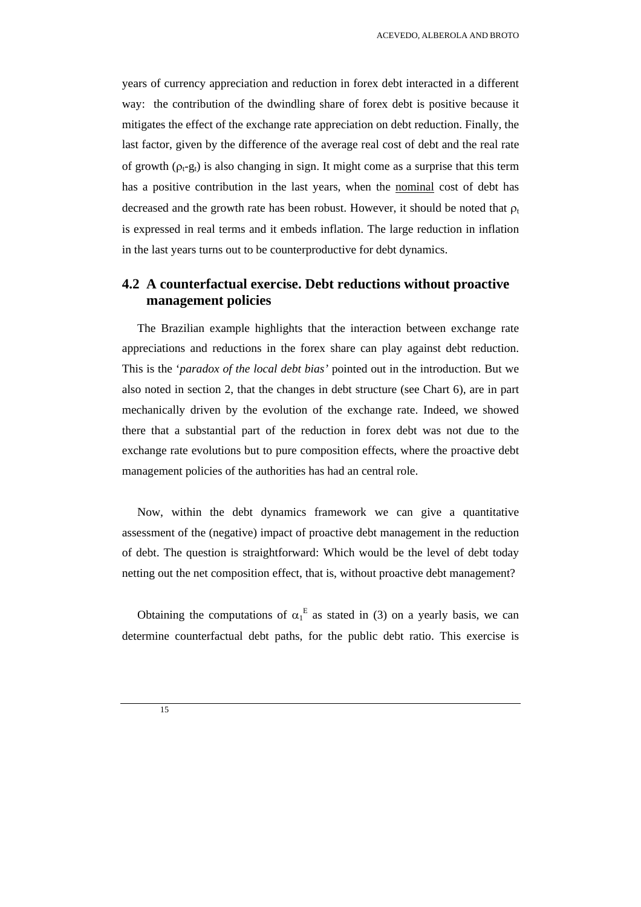years of currency appreciation and reduction in forex debt interacted in a different way: the contribution of the dwindling share of forex debt is positive because it mitigates the effect of the exchange rate appreciation on debt reduction. Finally, the last factor, given by the difference of the average real cost of debt and the real rate of growth  $(\rho_t-g_t)$  is also changing in sign. It might come as a surprise that this term has a positive contribution in the last years, when the nominal cost of debt has decreased and the growth rate has been robust. However, it should be noted that  $\rho_t$ is expressed in real terms and it embeds inflation. The large reduction in inflation in the last years turns out to be counterproductive for debt dynamics.

## **4.2 A counterfactual exercise. Debt reductions without proactive management policies**

The Brazilian example highlights that the interaction between exchange rate appreciations and reductions in the forex share can play against debt reduction. This is the '*paradox of the local debt bias'* pointed out in the introduction. But we also noted in section 2, that the changes in debt structure (see Chart 6), are in part mechanically driven by the evolution of the exchange rate. Indeed, we showed there that a substantial part of the reduction in forex debt was not due to the exchange rate evolutions but to pure composition effects, where the proactive debt management policies of the authorities has had an central role.

Now, within the debt dynamics framework we can give a quantitative assessment of the (negative) impact of proactive debt management in the reduction of debt. The question is straightforward: Which would be the level of debt today netting out the net composition effect, that is, without proactive debt management?

Obtaining the computations of  $\alpha_1^E$  as stated in (3) on a yearly basis, we can determine counterfactual debt paths, for the public debt ratio. This exercise is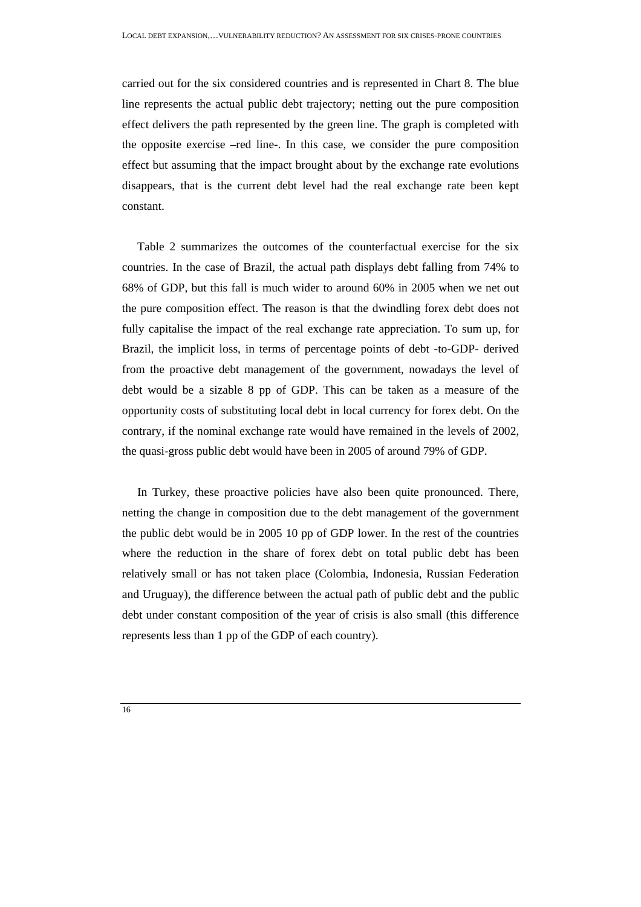carried out for the six considered countries and is represented in Chart 8. The blue line represents the actual public debt trajectory; netting out the pure composition effect delivers the path represented by the green line. The graph is completed with the opposite exercise –red line-. In this case, we consider the pure composition effect but assuming that the impact brought about by the exchange rate evolutions disappears, that is the current debt level had the real exchange rate been kept constant.

Table 2 summarizes the outcomes of the counterfactual exercise for the six countries. In the case of Brazil, the actual path displays debt falling from 74% to 68% of GDP, but this fall is much wider to around 60% in 2005 when we net out the pure composition effect. The reason is that the dwindling forex debt does not fully capitalise the impact of the real exchange rate appreciation. To sum up, for Brazil, the implicit loss, in terms of percentage points of debt -to-GDP- derived from the proactive debt management of the government, nowadays the level of debt would be a sizable 8 pp of GDP. This can be taken as a measure of the opportunity costs of substituting local debt in local currency for forex debt. On the contrary, if the nominal exchange rate would have remained in the levels of 2002, the quasi-gross public debt would have been in 2005 of around 79% of GDP.

In Turkey, these proactive policies have also been quite pronounced. There, netting the change in composition due to the debt management of the government the public debt would be in 2005 10 pp of GDP lower. In the rest of the countries where the reduction in the share of forex debt on total public debt has been relatively small or has not taken place (Colombia, Indonesia, Russian Federation and Uruguay), the difference between the actual path of public debt and the public debt under constant composition of the year of crisis is also small (this difference represents less than 1 pp of the GDP of each country).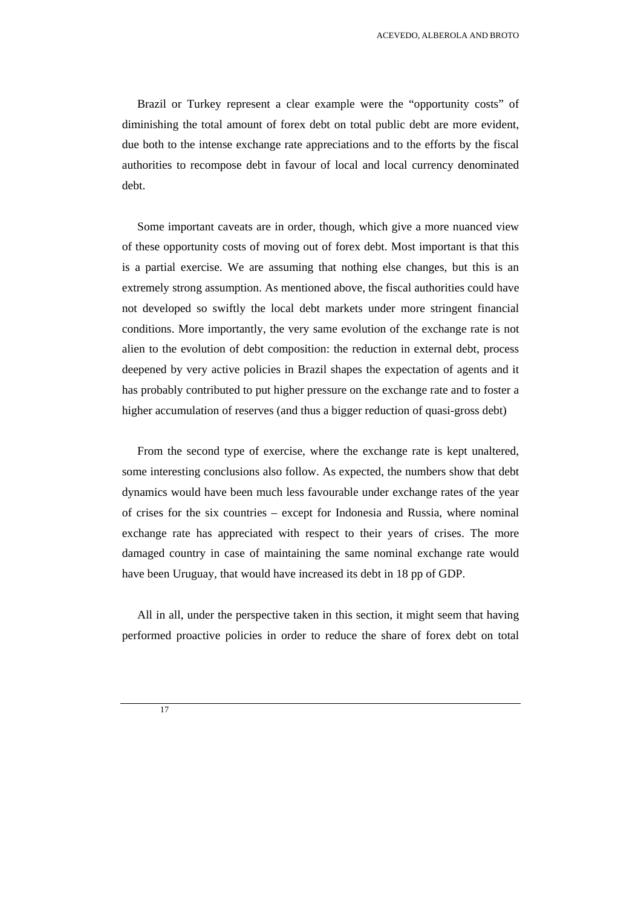Brazil or Turkey represent a clear example were the "opportunity costs" of diminishing the total amount of forex debt on total public debt are more evident, due both to the intense exchange rate appreciations and to the efforts by the fiscal authorities to recompose debt in favour of local and local currency denominated debt.

Some important caveats are in order, though, which give a more nuanced view of these opportunity costs of moving out of forex debt. Most important is that this is a partial exercise. We are assuming that nothing else changes, but this is an extremely strong assumption. As mentioned above, the fiscal authorities could have not developed so swiftly the local debt markets under more stringent financial conditions. More importantly, the very same evolution of the exchange rate is not alien to the evolution of debt composition: the reduction in external debt, process deepened by very active policies in Brazil shapes the expectation of agents and it has probably contributed to put higher pressure on the exchange rate and to foster a higher accumulation of reserves (and thus a bigger reduction of quasi-gross debt)

From the second type of exercise, where the exchange rate is kept unaltered, some interesting conclusions also follow. As expected, the numbers show that debt dynamics would have been much less favourable under exchange rates of the year of crises for the six countries – except for Indonesia and Russia, where nominal exchange rate has appreciated with respect to their years of crises. The more damaged country in case of maintaining the same nominal exchange rate would have been Uruguay, that would have increased its debt in 18 pp of GDP.

All in all, under the perspective taken in this section, it might seem that having performed proactive policies in order to reduce the share of forex debt on total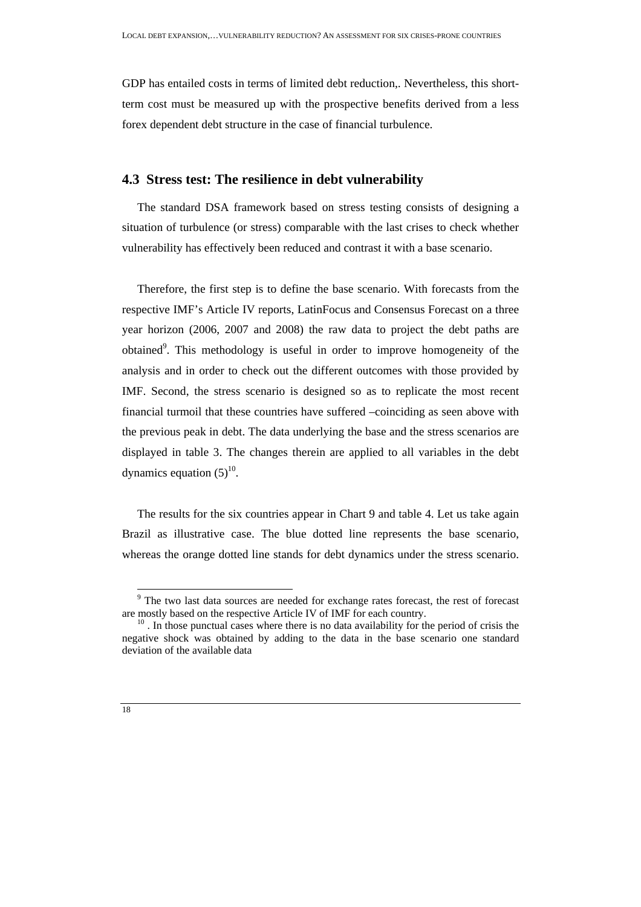GDP has entailed costs in terms of limited debt reduction,. Nevertheless, this shortterm cost must be measured up with the prospective benefits derived from a less forex dependent debt structure in the case of financial turbulence.

### **4.3 Stress test: The resilience in debt vulnerability**

The standard DSA framework based on stress testing consists of designing a situation of turbulence (or stress) comparable with the last crises to check whether vulnerability has effectively been reduced and contrast it with a base scenario.

Therefore, the first step is to define the base scenario. With forecasts from the respective IMF's Article IV reports, LatinFocus and Consensus Forecast on a three year horizon (2006, 2007 and 2008) the raw data to project the debt paths are obtained<sup>9</sup>. This methodology is useful in order to improve homogeneity of the analysis and in order to check out the different outcomes with those provided by IMF. Second, the stress scenario is designed so as to replicate the most recent financial turmoil that these countries have suffered –coinciding as seen above with the previous peak in debt. The data underlying the base and the stress scenarios are displayed in table 3. The changes therein are applied to all variables in the debt dynamics equation  $(5)^{10}$ .

The results for the six countries appear in Chart 9 and table 4. Let us take again Brazil as illustrative case. The blue dotted line represents the base scenario, whereas the orange dotted line stands for debt dynamics under the stress scenario.

<sup>&</sup>lt;sup>9</sup> The two last data sources are needed for exchange rates forecast, the rest of forecast are mostly based on the respective Article IV of IMF for each country.<br><sup>10</sup> . In those punctual cases where there is no data availability for the period of crisis the

negative shock was obtained by adding to the data in the base scenario one standard deviation of the available data

<sup>18</sup>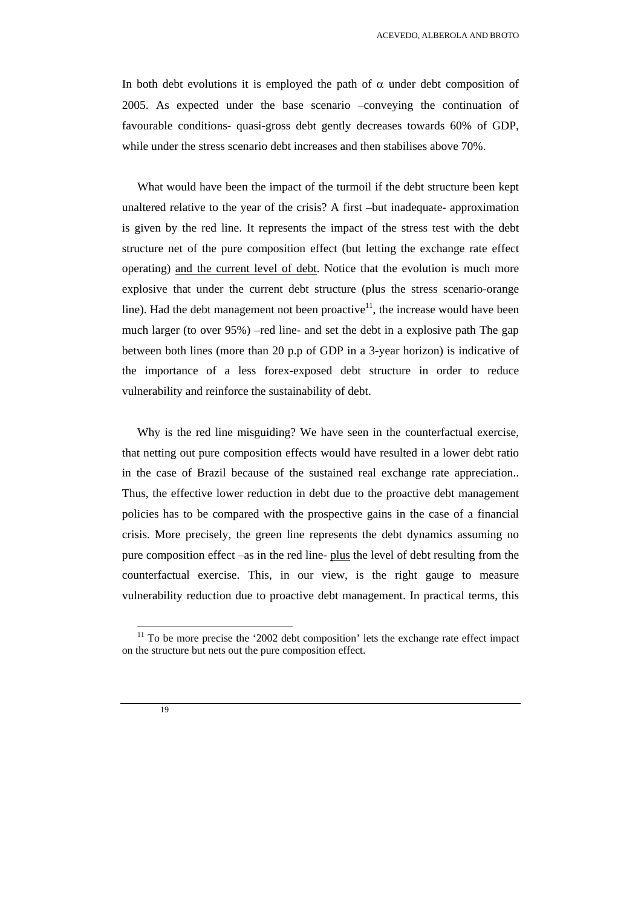In both debt evolutions it is employed the path of  $\alpha$  under debt composition of 2005. As expected under the base scenario –conveying the continuation of favourable conditions- quasi-gross debt gently decreases towards 60% of GDP, while under the stress scenario debt increases and then stabilises above 70%.

What would have been the impact of the turmoil if the debt structure been kept unaltered relative to the year of the crisis? A first –but inadequate- approximation is given by the red line. It represents the impact of the stress test with the debt structure net of the pure composition effect (but letting the exchange rate effect operating) and the current level of debt. Notice that the evolution is much more explosive that under the current debt structure (plus the stress scenario-orange line). Had the debt management not been proactive<sup>11</sup>, the increase would have been much larger (to over 95%) –red line- and set the debt in a explosive path The gap between both lines (more than 20 p.p of GDP in a 3-year horizon) is indicative of the importance of a less forex-exposed debt structure in order to reduce vulnerability and reinforce the sustainability of debt.

Why is the red line misguiding? We have seen in the counterfactual exercise, that netting out pure composition effects would have resulted in a lower debt ratio in the case of Brazil because of the sustained real exchange rate appreciation.. Thus, the effective lower reduction in debt due to the proactive debt management policies has to be compared with the prospective gains in the case of a financial crisis. More precisely, the green line represents the debt dynamics assuming no pure composition effect –as in the red line- plus the level of debt resulting from the counterfactual exercise. This, in our view, is the right gauge to measure vulnerability reduction due to proactive debt management. In practical terms, this

 $11$  To be more precise the '2002 debt composition' lets the exchange rate effect impact on the structure but nets out the pure composition effect.

 <sup>19</sup>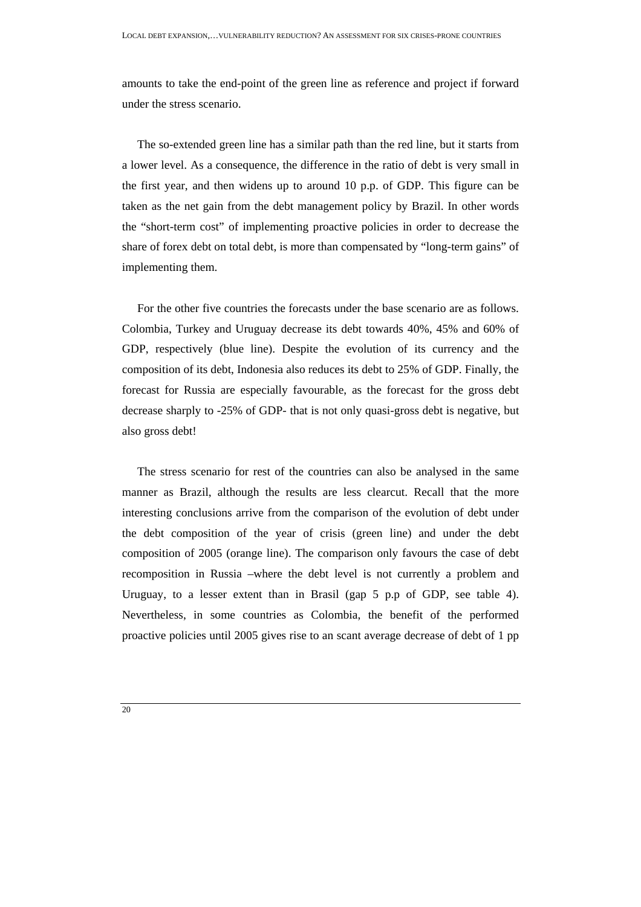amounts to take the end-point of the green line as reference and project if forward under the stress scenario.

The so-extended green line has a similar path than the red line, but it starts from a lower level. As a consequence, the difference in the ratio of debt is very small in the first year, and then widens up to around 10 p.p. of GDP. This figure can be taken as the net gain from the debt management policy by Brazil. In other words the "short-term cost" of implementing proactive policies in order to decrease the share of forex debt on total debt, is more than compensated by "long-term gains" of implementing them.

For the other five countries the forecasts under the base scenario are as follows. Colombia, Turkey and Uruguay decrease its debt towards 40%, 45% and 60% of GDP, respectively (blue line). Despite the evolution of its currency and the composition of its debt, Indonesia also reduces its debt to 25% of GDP. Finally, the forecast for Russia are especially favourable, as the forecast for the gross debt decrease sharply to -25% of GDP- that is not only quasi-gross debt is negative, but also gross debt!

The stress scenario for rest of the countries can also be analysed in the same manner as Brazil, although the results are less clearcut. Recall that the more interesting conclusions arrive from the comparison of the evolution of debt under the debt composition of the year of crisis (green line) and under the debt composition of 2005 (orange line). The comparison only favours the case of debt recomposition in Russia –where the debt level is not currently a problem and Uruguay, to a lesser extent than in Brasil (gap 5 p.p of GDP, see table 4). Nevertheless, in some countries as Colombia, the benefit of the performed proactive policies until 2005 gives rise to an scant average decrease of debt of 1 pp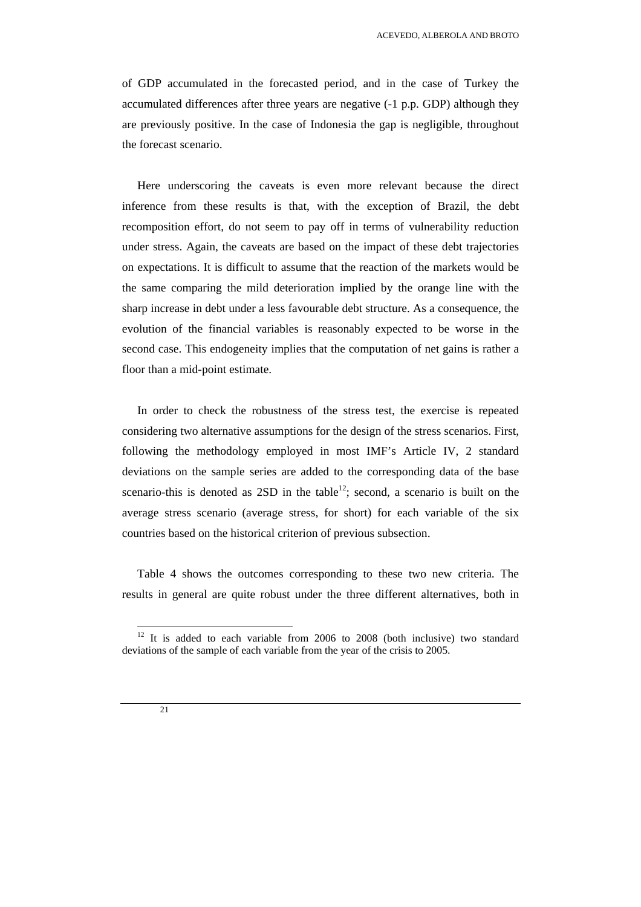of GDP accumulated in the forecasted period, and in the case of Turkey the accumulated differences after three years are negative (-1 p.p. GDP) although they are previously positive. In the case of Indonesia the gap is negligible, throughout the forecast scenario.

Here underscoring the caveats is even more relevant because the direct inference from these results is that, with the exception of Brazil, the debt recomposition effort, do not seem to pay off in terms of vulnerability reduction under stress. Again, the caveats are based on the impact of these debt trajectories on expectations. It is difficult to assume that the reaction of the markets would be the same comparing the mild deterioration implied by the orange line with the sharp increase in debt under a less favourable debt structure. As a consequence, the evolution of the financial variables is reasonably expected to be worse in the second case. This endogeneity implies that the computation of net gains is rather a floor than a mid-point estimate.

In order to check the robustness of the stress test, the exercise is repeated considering two alternative assumptions for the design of the stress scenarios. First, following the methodology employed in most IMF's Article IV, 2 standard deviations on the sample series are added to the corresponding data of the base scenario-this is denoted as  $2SD$  in the table<sup>12</sup>; second, a scenario is built on the average stress scenario (average stress, for short) for each variable of the six countries based on the historical criterion of previous subsection.

Table 4 shows the outcomes corresponding to these two new criteria. The results in general are quite robust under the three different alternatives, both in

 $12$  It is added to each variable from 2006 to 2008 (both inclusive) two standard deviations of the sample of each variable from the year of the crisis to 2005.

 $21$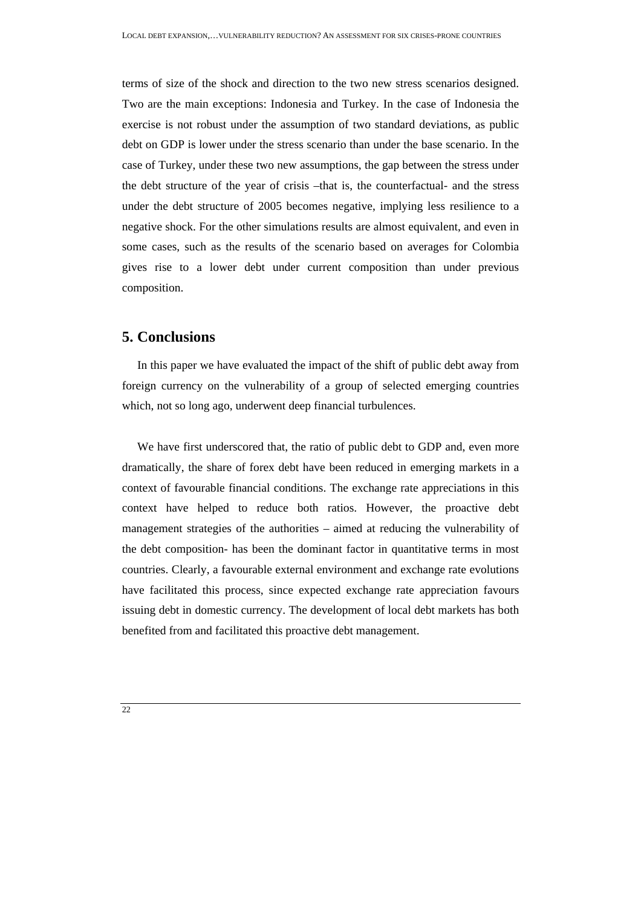terms of size of the shock and direction to the two new stress scenarios designed. Two are the main exceptions: Indonesia and Turkey. In the case of Indonesia the exercise is not robust under the assumption of two standard deviations, as public debt on GDP is lower under the stress scenario than under the base scenario. In the case of Turkey, under these two new assumptions, the gap between the stress under the debt structure of the year of crisis –that is, the counterfactual- and the stress under the debt structure of 2005 becomes negative, implying less resilience to a negative shock. For the other simulations results are almost equivalent, and even in some cases, such as the results of the scenario based on averages for Colombia gives rise to a lower debt under current composition than under previous composition.

### **5. Conclusions**

In this paper we have evaluated the impact of the shift of public debt away from foreign currency on the vulnerability of a group of selected emerging countries which, not so long ago, underwent deep financial turbulences.

We have first underscored that, the ratio of public debt to GDP and, even more dramatically, the share of forex debt have been reduced in emerging markets in a context of favourable financial conditions. The exchange rate appreciations in this context have helped to reduce both ratios. However, the proactive debt management strategies of the authorities – aimed at reducing the vulnerability of the debt composition- has been the dominant factor in quantitative terms in most countries. Clearly, a favourable external environment and exchange rate evolutions have facilitated this process, since expected exchange rate appreciation favours issuing debt in domestic currency. The development of local debt markets has both benefited from and facilitated this proactive debt management.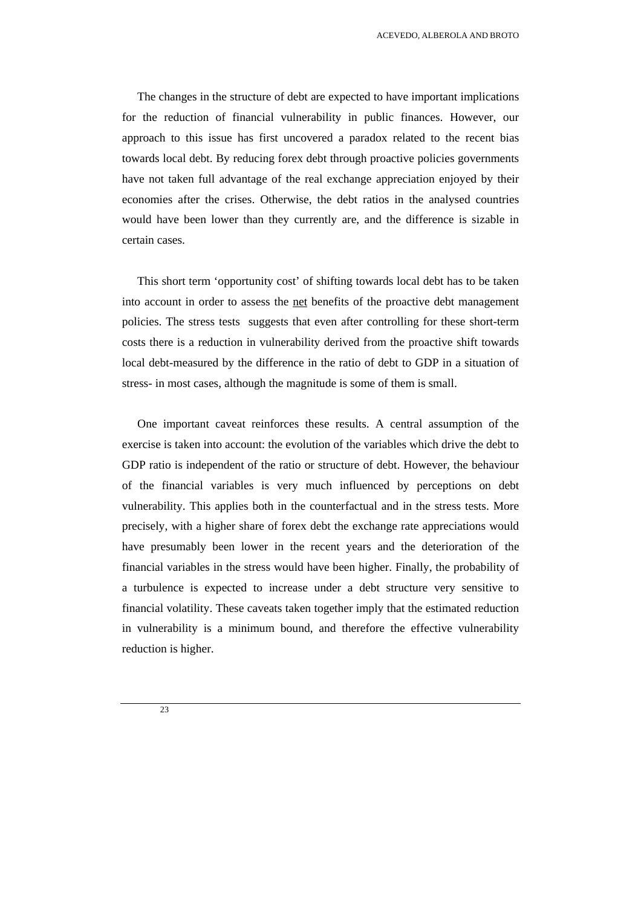ACEVEDO, ALBEROLA AND BROTO

The changes in the structure of debt are expected to have important implications for the reduction of financial vulnerability in public finances. However, our approach to this issue has first uncovered a paradox related to the recent bias towards local debt. By reducing forex debt through proactive policies governments have not taken full advantage of the real exchange appreciation enjoyed by their economies after the crises. Otherwise, the debt ratios in the analysed countries would have been lower than they currently are, and the difference is sizable in certain cases.

This short term 'opportunity cost' of shifting towards local debt has to be taken into account in order to assess the net benefits of the proactive debt management policies. The stress tests suggests that even after controlling for these short-term costs there is a reduction in vulnerability derived from the proactive shift towards local debt-measured by the difference in the ratio of debt to GDP in a situation of stress- in most cases, although the magnitude is some of them is small.

One important caveat reinforces these results. A central assumption of the exercise is taken into account: the evolution of the variables which drive the debt to GDP ratio is independent of the ratio or structure of debt. However, the behaviour of the financial variables is very much influenced by perceptions on debt vulnerability. This applies both in the counterfactual and in the stress tests. More precisely, with a higher share of forex debt the exchange rate appreciations would have presumably been lower in the recent years and the deterioration of the financial variables in the stress would have been higher. Finally, the probability of a turbulence is expected to increase under a debt structure very sensitive to financial volatility. These caveats taken together imply that the estimated reduction in vulnerability is a minimum bound, and therefore the effective vulnerability reduction is higher.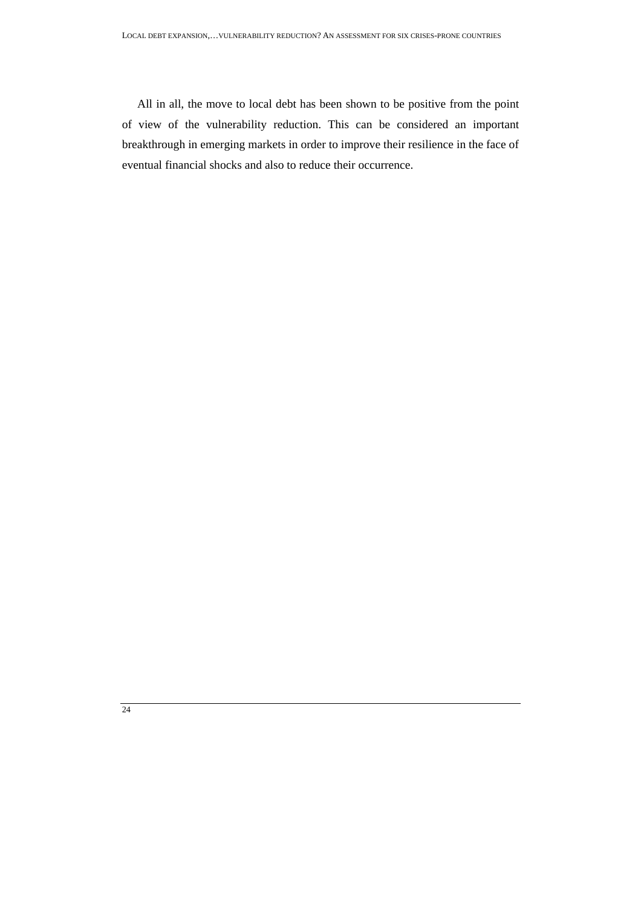All in all, the move to local debt has been shown to be positive from the point of view of the vulnerability reduction. This can be considered an important breakthrough in emerging markets in order to improve their resilience in the face of eventual financial shocks and also to reduce their occurrence.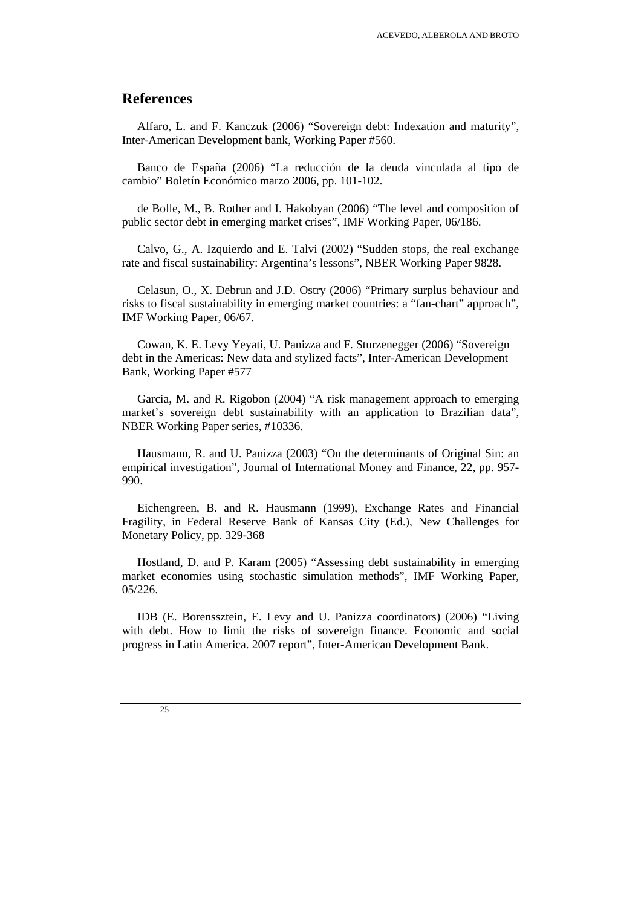### **References**

Alfaro, L. and F. Kanczuk (2006) "Sovereign debt: Indexation and maturity", Inter-American Development bank, Working Paper #560.

Banco de España (2006) "La reducción de la deuda vinculada al tipo de cambio" Boletín Económico marzo 2006, pp. 101-102.

de Bolle, M., B. Rother and I. Hakobyan (2006) "The level and composition of public sector debt in emerging market crises", IMF Working Paper, 06/186.

Calvo, G., A. Izquierdo and E. Talvi (2002) "Sudden stops, the real exchange rate and fiscal sustainability: Argentina's lessons", NBER Working Paper 9828.

Celasun, O., X. Debrun and J.D. Ostry (2006) "Primary surplus behaviour and risks to fiscal sustainability in emerging market countries: a "fan-chart" approach", IMF Working Paper, 06/67.

Cowan, K. E. Levy Yeyati, U. Panizza and F. Sturzenegger (2006) "Sovereign debt in the Americas: New data and stylized facts", Inter-American Development Bank, Working Paper #577

Garcia, M. and R. Rigobon (2004) "A risk management approach to emerging market's sovereign debt sustainability with an application to Brazilian data", NBER Working Paper series, #10336.

Hausmann, R. and U. Panizza (2003) "On the determinants of Original Sin: an empirical investigation", Journal of International Money and Finance, 22, pp. 957- 990.

Eichengreen, B. and R. Hausmann (1999), Exchange Rates and Financial Fragility, in Federal Reserve Bank of Kansas City (Ed.), New Challenges for Monetary Policy, pp. 329-368

Hostland, D. and P. Karam (2005) "Assessing debt sustainability in emerging market economies using stochastic simulation methods", IMF Working Paper, 05/226.

IDB (E. Borenssztein, E. Levy and U. Panizza coordinators) (2006) "Living with debt. How to limit the risks of sovereign finance. Economic and social progress in Latin America. 2007 report", Inter-American Development Bank.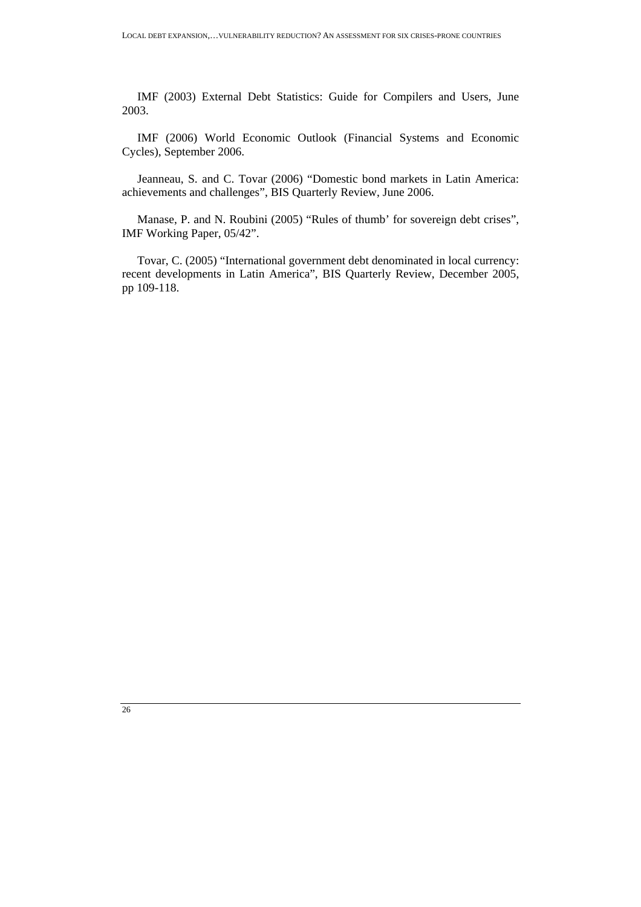IMF (2003) External Debt Statistics: Guide for Compilers and Users, June 2003.

IMF (2006) World Economic Outlook (Financial Systems and Economic Cycles), September 2006.

Jeanneau, S. and C. Tovar (2006) "Domestic bond markets in Latin America: achievements and challenges", BIS Quarterly Review, June 2006.

Manase, P. and N. Roubini (2005) "Rules of thumb' for sovereign debt crises", IMF Working Paper, 05/42".

Tovar, C. (2005) "International government debt denominated in local currency: recent developments in Latin America", BIS Quarterly Review, December 2005, pp 109-118.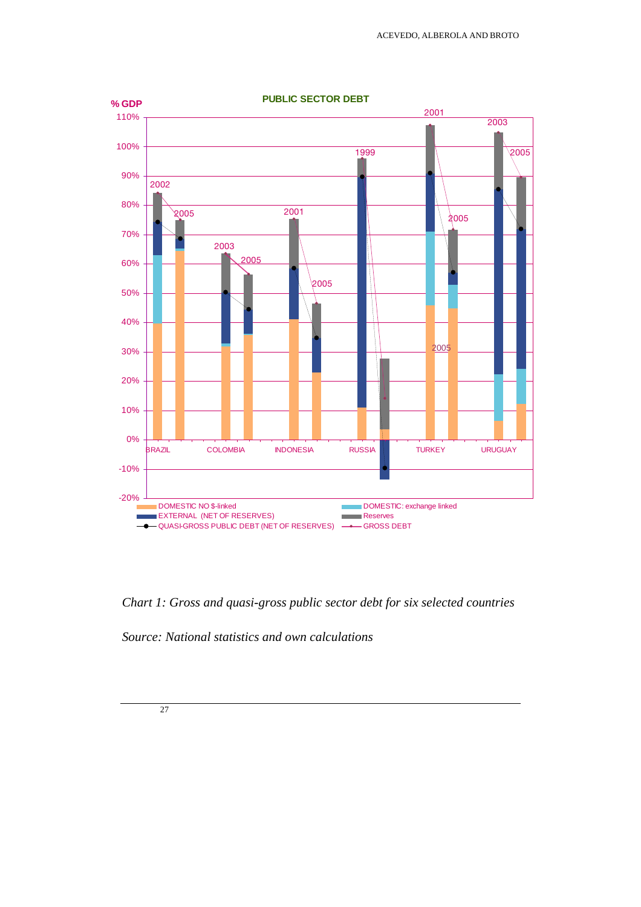

*Chart 1: Gross and quasi-gross public sector debt for six selected countries* 

*Source: National statistics and own calculations*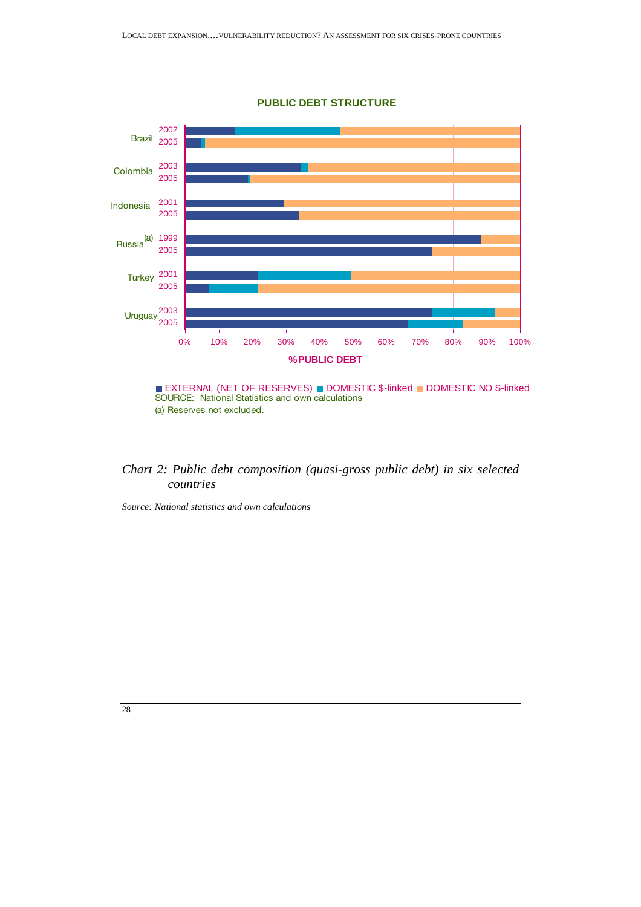

**PUBLIC DEBT STRUCTURE**



### *Chart 2: Public debt composition (quasi-gross public debt) in six selected countries*

*Source: National statistics and own calculations*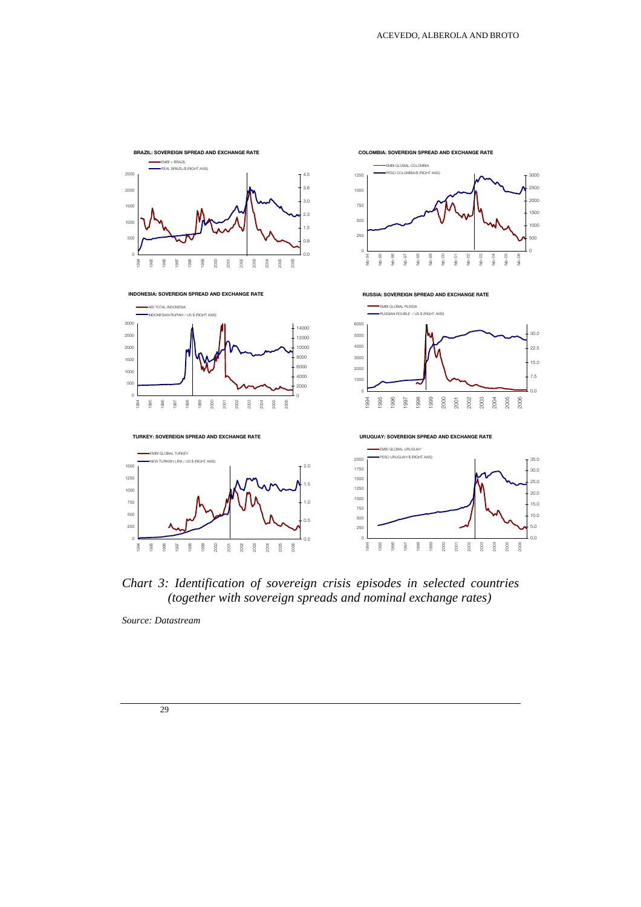

*Chart 3: Identification of sovereign crisis episodes in selected countries (together with sovereign spreads and nominal exchange rates)* 

*Source: Datastream*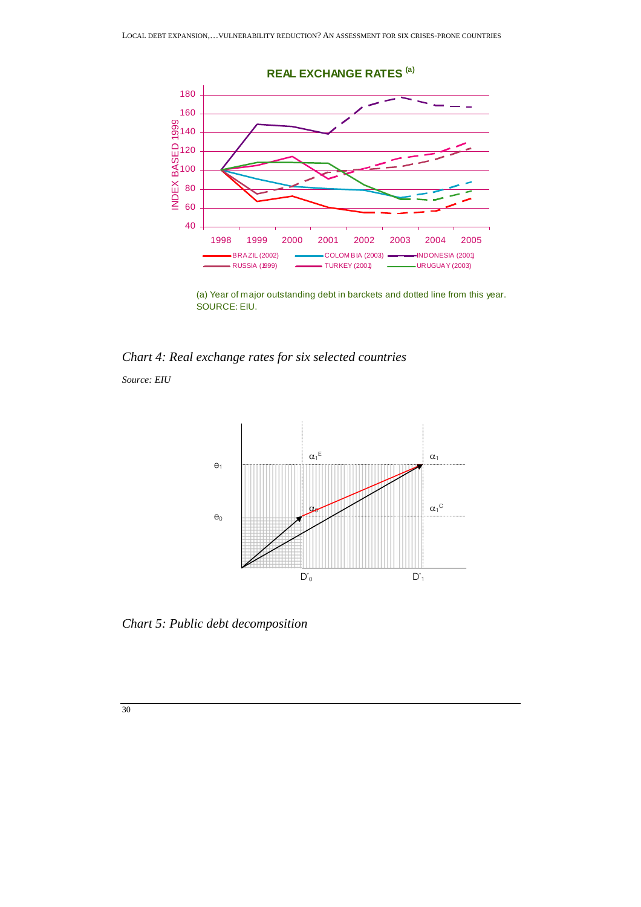

(a) Year of major outstanding debt in barckets and dotted line from this year. SOURCE: EIU.

*Chart 4: Real exchange rates for six selected countries* 

*Source: EIU* 



*Chart 5: Public debt decomposition*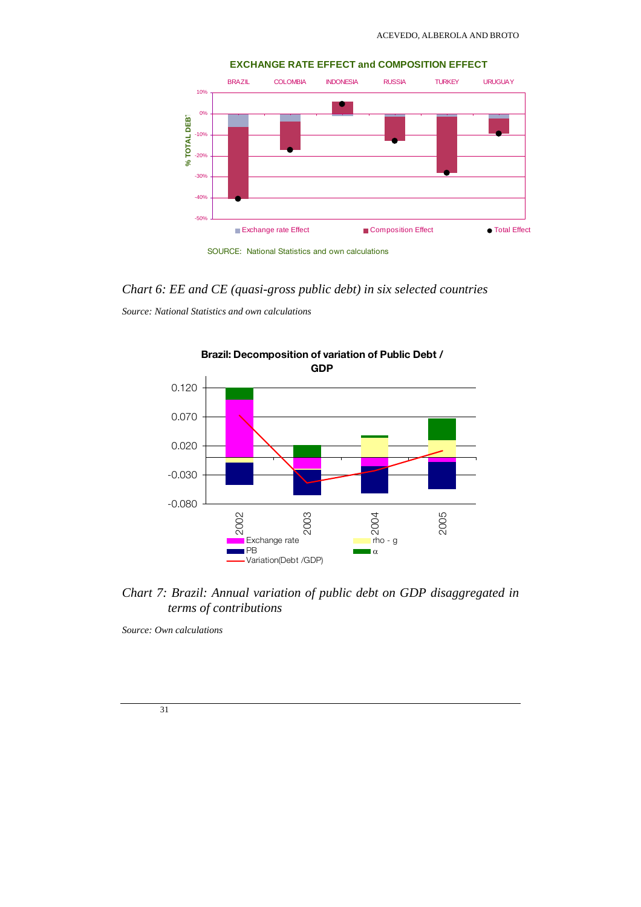

### *Chart 6: EE and CE (quasi-gross public debt) in six selected countries*

*Source: National Statistics and own calculations* 



*Chart 7: Brazil: Annual variation of public debt on GDP disaggregated in terms of contributions* 

*Source: Own calculations*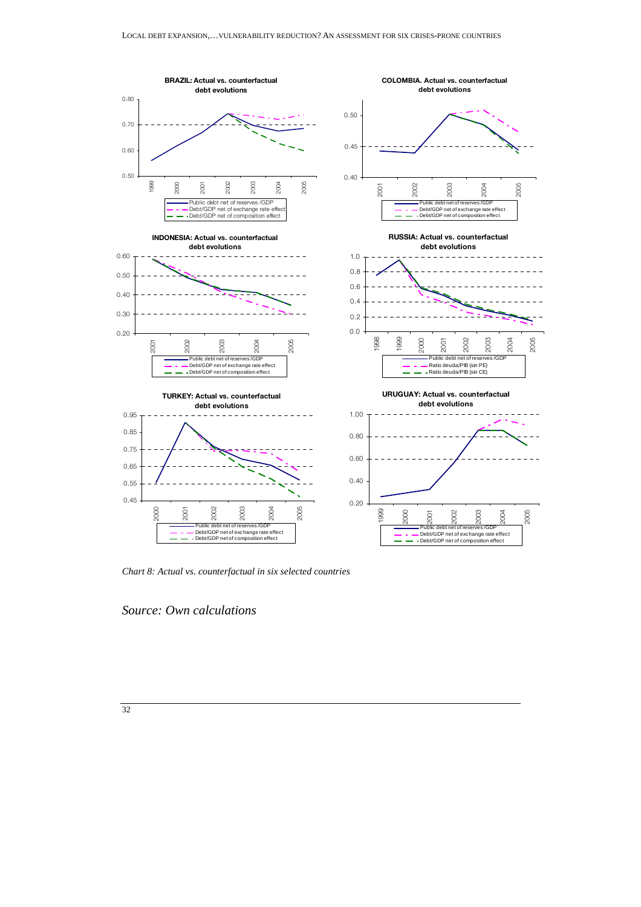

*Chart 8: Actual vs. counterfactual in six selected countries* 

*Source: Own calculations*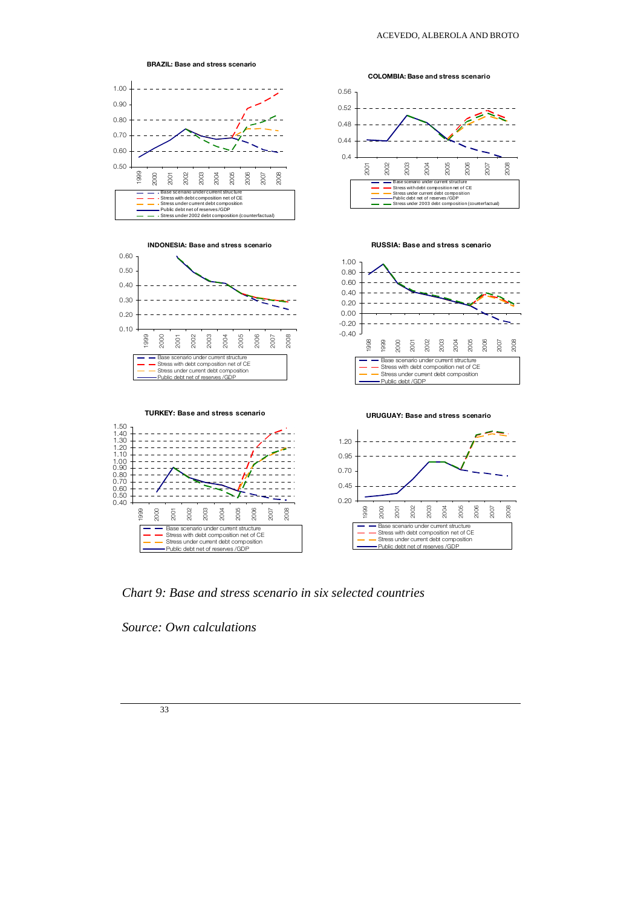





COLOMBIA: Base and stress scenario



RUSSIA: Base and stress scenario





*Chart 9: Base and stress scenario in six selected countries* 

*Source: Own calculations* 

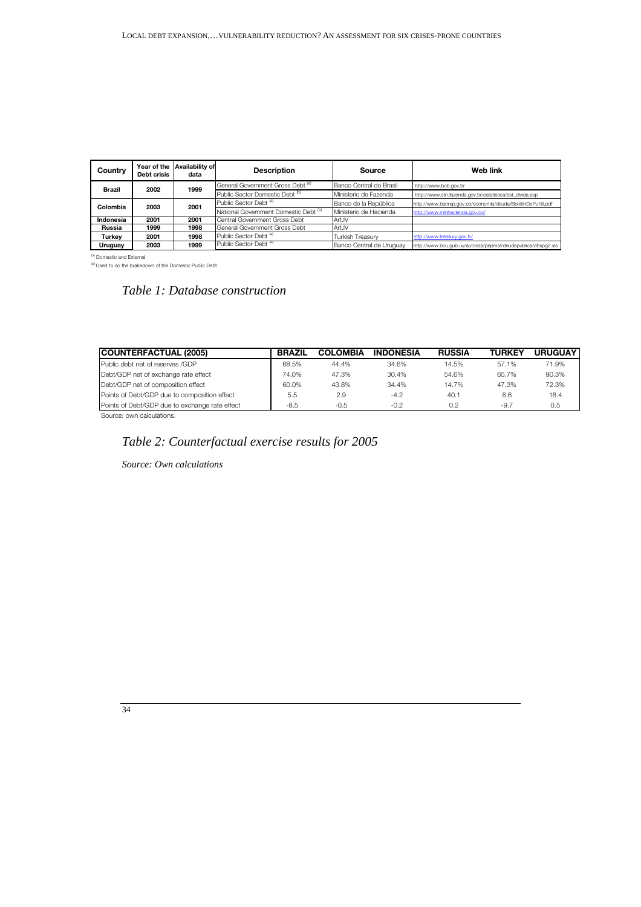| Country        | Debt crisis | Year of the Availability of<br>data | <b>Description</b>                               | Source                   | Web link                                                      |
|----------------|-------------|-------------------------------------|--------------------------------------------------|--------------------------|---------------------------------------------------------------|
| 2002<br>Brazil |             | 1999                                | General Government Gross Debt <sup>(a)</sup>     | Banco Central do Brasil  | http://www.bcb.gov.br                                         |
|                |             |                                     | Public Sector Domestic Debt <sup>(b)</sup>       | Ministerio de Fazenda    | http://www.stn.fazenda.gov.br/estatistica/est_divida.asp      |
| Colombia       | 2003        | 2001                                | Public Sector Debt <sup>(a)</sup>                | Banco de la República    | http://www.banrep.gov.co/economia/deuda/BoletinDePu18.pdf     |
|                |             |                                     | National Government Domestic Debt <sup>(b)</sup> | Ministerio de Hacienda   | http://www.minhacienda.gov.co/                                |
| Indonesia      | 2001        | 2001                                | Central Government Gross Debt                    | Art.IV                   |                                                               |
| Russia         | 1999        | 1998                                | General Government Gross Debt                    | Art.IV                   |                                                               |
| Turkey         | 2001        | 1998                                | Public Sector Debt <sup>(a)</sup>                | <b>Turkish Treasury</b>  | http://www.treasury.gov.tr/                                   |
| Uruguay        | 2003        | 1999                                | Public Sector Debt <sup>(a)</sup>                | Banco Central de Uruguay | http://www.bcu.gub.uy/autoriza/pepmaf/deudapublica/dbspg2.xls |

<sup>(a)</sup> Domestic and External<br><sup>(b)</sup> Used to do the brakedown of the Domestic Public Debt

# *Table 1: Database construction*

| <b>ICOUNTERFACTUAL (2005)</b>                  | <b>BRAZIL</b> | <b>COLOMBIA</b> | <b>INDONESIA</b> | <b>RUSSIA</b> | <b>TURKEY</b> | <b>URUGUAY</b> |
|------------------------------------------------|---------------|-----------------|------------------|---------------|---------------|----------------|
| Public debt net of reserves /GDP               | 68.5%         | 44.4%           | 34.6%            | 14.5%         | 57.1%         | 71.9%          |
| Debt/GDP net of exchange rate effect           | 74.0%         | 47.3%           | 30.4%            | 54.6%         | 65.7%         | 90.3%          |
| Debt/GDP net of composition effect             | 60.0%         | 43.8%           | 34.4%            | 14.7%         | 47.3%         | 72.3%          |
| Points of Debt/GDP due to composition effect   | 5.5           | 2.9             | $-4.2$           | 40.1          | 8.6           | 18.4           |
| Points of Debt/GDP due to exchange rate effect | $-8.5$        | $-0.5$          | $-0.2$           | 0.2           | $-9.7$        | 0.5            |

Source: own calculations.

# *Table 2: Counterfactual exercise results for 2005*

*Source: Own calculations*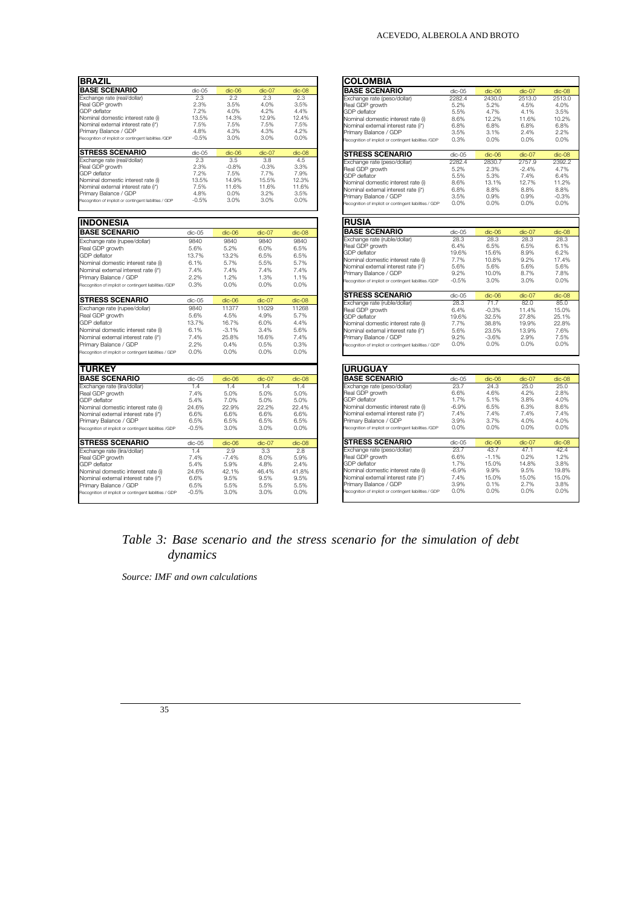| <b>BRAZIL</b>                                                             |               |               |               |               |
|---------------------------------------------------------------------------|---------------|---------------|---------------|---------------|
| <b>BASE SCENARIO</b>                                                      | dic-05        | $dic-06$      | $dic-07$      | dic-08        |
| Exchange rate (real/dollar)                                               | 2.3           | 22            | 2.3           | 2.3           |
| Real GDP growth                                                           | 2.3%          | 3.5%          | 4.0%          | 3.5%          |
| <b>GDP</b> deflator                                                       | 7.2%          | 4.0%          | 4.2%          | 4.4%          |
| Nominal domestic interest rate (i)                                        | 13.5%         | 14.3%         | 12.9%         | 12.4%         |
| Nominal external interest rate (i*)                                       | 7.5%          | 7.5%          | 7.5%          | 7.5%          |
| Primary Balance / GDP                                                     | 4.8%          | 4.3%          | 4.3%          | 4.2%          |
| Recognition of implicit or contingent liabilities /GDP                    | $-0.5%$       | 3.0%          | 3.0%          | $0.0\%$       |
| <b>STRESS SCENARIO</b>                                                    | $dic-05$      | $dic-06$      | $dic-07$      | $dic-08$      |
| Exchange rate (real/dollar)                                               | 2.3           | 3.5           | 3.8           | 4.5           |
| Real GDP growth                                                           | 2.3%          | $-0.8%$       | $-0.3%$       | 3.3%          |
| <b>GDP</b> deflator                                                       | 7.2%          | 7.5%          | 7.7%          | 7.9%          |
| Nominal domestic interest rate (i)                                        | 13.5%         | 14.9%         | 15.5%         | 12.3%         |
| Nominal external interest rate (i*)                                       | 7.5%          | 11.6%         | 11.6%         | 11.6%         |
| Primary Balance / GDP                                                     | 4.8%          | 0.0%          | 3.2%          | 3.5%          |
| Recognition of implicit or contingent liabilities / GDP                   | $-0.5%$       | 3.0%          | 3.0%          | 0.0%          |
|                                                                           |               |               |               |               |
| <b>INDONESIA</b>                                                          |               |               |               |               |
| <b>BASE SCENARIO</b>                                                      | dic-05        | dic-06        | $dic-07$      | $dic-08$      |
| Exchange rate (rupee/dollar)                                              | 9840          | 9840          | 9840          | 9840          |
| Real GDP growth                                                           | 5.6%          | 5.2%          | 6.0%          | 6.5%          |
| <b>GDP</b> deflator                                                       | 13.7%         | 13.2%         | 6.5%          | 6.5%          |
| Nominal domestic interest rate (i)                                        | 6.1%          | 5.7%          | 5.5%          | 5.7%          |
| Nominal external interest rate (i*)                                       | 7.4%          | 7.4%          | 7.4%          | 7.4%          |
| Primary Balance / GDP                                                     | 2.2%          | 1.2%          | 1.3%          | 1.1%          |
| Recognition of implicit or contingent liabilities /GDP                    | 0.3%          | 0.0%          | 0.0%          | 0.0%          |
| STRESS SCENARIO                                                           | dic-05        | dic-06        | $dic-07$      | dic-08        |
| Exchange rate (rupee/dollar)                                              | 9840          | 11377         | 11029         | 11268         |
| Real GDP growth                                                           | 5.6%          | 4.5%          | 4.9%          | 5.7%          |
| <b>GDP</b> deflator                                                       | 13.7%         | 16.7%         | 6.0%          | 4.4%          |
| Nominal domestic interest rate (i)                                        | 6.1%          | $-3.1%$       | 3.4%          | 5.6%          |
| Nominal external interest rate (i*)                                       | 7.4%          | 25.8%         | 16.6%         | 7.4%          |
| Primary Balance / GDP                                                     | 2.2%          | 0.4%          | 0.5%          | 0.3%          |
| Recognition of implicit or contingent liabilities / GDP                   | 0.0%          | 0.0%          | 0.0%          | 0.0%          |
|                                                                           |               |               |               |               |
| <b>TURKEY</b><br><b>BASE SCENARIO</b>                                     |               |               |               |               |
|                                                                           | dic-05        | $dic-06$      | $dic-07$      | $dic-08$      |
| Exchange rate (lira/dollar)                                               | 1.4           | 1.4           | 1.4           | 1.4           |
| Real GDP growth                                                           | 7.4%          | 5.0%          | 5.0%          | 5.0%          |
| <b>GDP</b> deflator                                                       | 5.4%<br>24.6% | 7.0%<br>22.9% | 5.0%<br>22.2% | 5.0%<br>22.4% |
| Nominal domestic interest rate (i)                                        | 6.6%          | 6.6%          | 6.6%          | 6.6%          |
| Nominal external interest rate (i*)<br>Primary Balance / GDP              | 6.5%          | 6.5%          | 6.5%          | 6.5%          |
| Recognition of implicit or contingent liabilities /GDP                    | $-0.5%$       | 3.0%          | 3.0%          | 0.0%          |
|                                                                           |               |               |               |               |
| <b>STRESS SCENARIO</b>                                                    | dic-05        | dic-06        | $dic-07$      | dic-08        |
| Exchange rate (lira/dollar)                                               | 1.4           | 2.9           | 3.3           | 2.8           |
| Real GDP growth                                                           | 7.4%          | $-7.4%$       | 8.0%          | 5.9%          |
| <b>GDP</b> deflator                                                       | 5.4%          | 5.9%          | 4.8%          | 2.4%          |
| Nominal domestic interest rate (i)<br>Nominal external interest rate (i*) | 24.6%<br>6.6% | 42.1%<br>9.5% | 46.4%<br>9.5% | 41.8%<br>9.5% |
|                                                                           | 6.5%          | 5.5%          | 5.5%          | 5.5%          |
| Primary Balance / GDP                                                     |               | 3.0%          | 3.0%          | 0.0%          |
| Recognition of implicit or contingent liabilities / GDP                   | $-0.5%$       |               |               |               |

#### ACEVEDO, ALBEROLA AND BROTO

| <b>COLOMBIA</b>                                                                  |              |                 |              |                 |
|----------------------------------------------------------------------------------|--------------|-----------------|--------------|-----------------|
| <b>BASE SCENARIO</b>                                                             | dic-05       | $dic-06$        | $dic-07$     | dic-08          |
| Exchange rate (peso/dollar)                                                      | 2282.4       | 2430.0          | 2513.0       | 2513.0          |
| Real GDP growth                                                                  | 5.2%         | 5.2%            | 4.5%         | 4.0%            |
| <b>GDP</b> deflator                                                              | 5.5%         | 4.7%            | 4.1%         | 3.5%            |
| Nominal domestic interest rate (i)                                               | 8.6%         | 12.2%           | 11.6%        | 10.2%           |
| Nominal external interest rate (i*)                                              | 6.8%         | 6.8%            | 6.8%         | 6.8%            |
| Primary Balance / GDP                                                            | 3.5%         | 3.1%            | 2.4%         | 2.2%            |
| Recognition of implicit or contingent liabilities /GDP                           | 0.3%         | 0.0%            | 0.0%         | 0.0%            |
| <b>STRESS SCENARIO</b>                                                           | dic-05       | dic-06          | $dic-07$     | dic-08          |
| Exchange rate (peso/dollar)                                                      | 2282.4       | 2830.7          | 2757.9       | 2392.2          |
| Real GDP growth                                                                  | 5.2%         | 2.3%            | $-2.4%$      | 4.7%            |
| <b>GDP</b> deflator                                                              | 5.5%         | 5.3%            | 7.4%         | 6.4%            |
| Nominal domestic interest rate (i)                                               | 8.6%         | 13.1%           | 12.7%        | 11.2%           |
| Nominal external interest rate (i*)                                              | 6.8%         | 8.8%            | 8.8%         | 8.8%            |
| Primary Balance / GDP<br>Recognition of implicit or contingent liabilities / GDP | 3.5%<br>0.0% | 0.9%<br>0.0%    | 0.9%<br>0.0% | $-0.3%$<br>0.0% |
|                                                                                  |              |                 |              |                 |
| <b>RUSIA</b>                                                                     |              |                 |              |                 |
| <b>BASE SCENARIO</b>                                                             | dic-05       | $dic-06$        | $dic-07$     | $dic-08$        |
| Exchange rate (ruble/dollar)                                                     | 28.3         | 28.3            | 28.3         | 28.3            |
| Real GDP growth                                                                  | 6.4%         | 6.5%            | 6.5%         | 6.1%            |
| <b>GDP</b> deflator                                                              | 19.6%        | 15.6%           | 8.9%         | 6.2%            |
| Nominal domestic interest rate (i)                                               | 7.7%         | 10.8%           | 9.2%         | 17.4%           |
| Nominal external interest rate (i*)<br>Primary Balance / GDP                     | 5.6%<br>9.2% | 5.6%<br>10.0%   | 5.6%<br>8.7% | 5.6%<br>7.8%    |
|                                                                                  | $-0.5%$      | 3.0%            | 3.0%         | 0.0%            |
| Recognition of implicit or contingent liabilities /GDP                           |              |                 |              |                 |
| <b>STRESS SCENARIO</b>                                                           | dic-05       | $dic-06$        | $dic-07$     | $dic-08$        |
| Exchange rate (ruble/dollar)                                                     | 28.3         | 71.7            | 82.0         | 85.0            |
| Real GDP growth                                                                  | 6.4%         | $-0.3%$         | 11.4%        | 15.0%           |
| <b>GDP</b> deflator                                                              | 19.6%        | 32.5%           | 27.8%        | 25.1%           |
| Nominal domestic interest rate (i)                                               | 7.7%         | 38.8%           | 19.9%        | 22.8%           |
| Nominal external interest rate (i*)                                              | 5.6%         | 23.5%           | 13.9%        | 7.6%            |
| Primary Balance / GDP<br>Recognition of implicit or contingent liabilities / GDP | 9.2%<br>0.0% | $-3.6%$<br>0.0% | 2.9%<br>0.0% | 7.5%<br>0.0%    |
|                                                                                  |              |                 |              |                 |
|                                                                                  |              |                 |              |                 |
| <b>URUGUAY</b><br><b>BASE SCENARIO</b>                                           | dic-05       |                 | $dic-07$     | $dic-08$        |
| Exchange rate (peso/dollar)                                                      | 23.7         | dic-06<br>24.3  | 25.0         | 25.0            |
| Real GDP growth                                                                  | 6.6%         | 4.6%            | 4.2%         | 2.8%            |
| <b>GDP</b> deflator                                                              | 1.7%         | 5.1%            | 3.8%         | 4.0%            |
| Nominal domestic interest rate (i)                                               | $-6.9%$      | 6.5%            | 6.3%         | 8.6%            |
| Nominal external interest rate (i*)                                              | 7.4%         | 7.4%            | 7.4%         | 7.4%            |
| Primary Balance / GDP                                                            | 3.9%         | 3.7%            | 4.0%         | 4.0%            |
| Recognition of implicit or contingent liabilities /GDP                           | 0.0%         | 0.0%            | 0.0%         | 0.0%            |
| <b>STRESS SCENARIO</b>                                                           | dic-05       | dic-06          | $dic-07$     | $dic-08$        |
| Exchange rate (peso/dollar)                                                      | 23.7         | 43.7            | 47.1         | 42.4            |
| Real GDP growth                                                                  | 6.6%         | $-1.1%$         | 0.2%         | 1.2%            |
| <b>GDP</b> deflator                                                              | 1.7%         | 15.0%           | 14.8%        | 3.8%            |
| Nominal domestic interest rate (i)                                               | $-6.9%$      | 9.9%            | 9.5%         | 19.8%           |
| Nominal external interest rate (i*)                                              | 7.4%         | 15.0%           | 15.0%        | 15.0%           |
| Primary Balance / GDP                                                            | 3.9%         | 0.1%            | 2.7%         | 3.8%            |
| Recognition of implicit or contingent liabilities / GDP                          | 0.0%         | 0.0%            | 0.0%         | 0.0%            |

# *Table 3: Base scenario and the stress scenario for the simulation of debt dynamics*

*Source: IMF and own calculations*